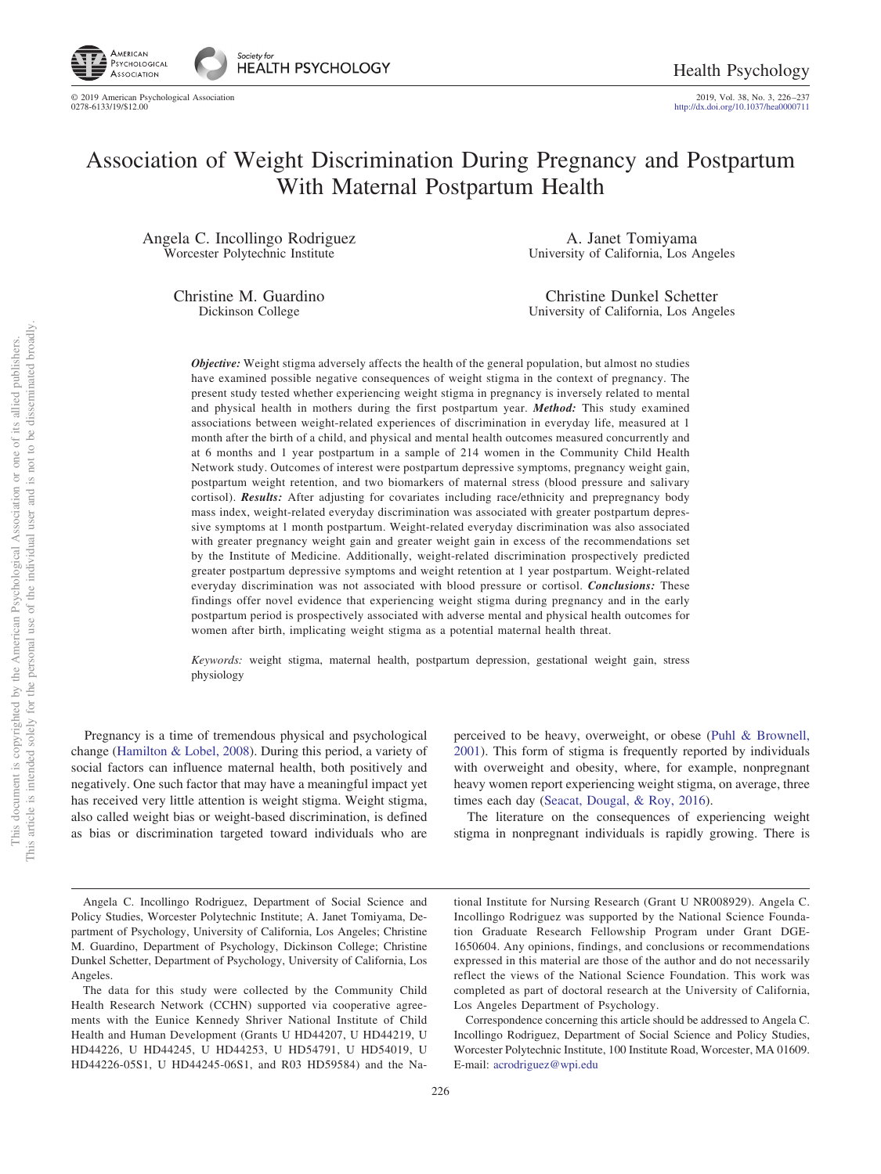

2019, Vol. 38, No. 3, 226–237<br>http://dx.doi.org[/10.1037/hea0000711](http://dx.doi.org/10.1037/hea0000711)

# Association of Weight Discrimination During Pregnancy and Postpartum With Maternal Postpartum Health

Angela C. Incollingo Rodriguez Worcester Polytechnic Institute

> Christine M. Guardino Dickinson College

A. Janet Tomiyama University of California, Los Angeles

Christine Dunkel Schetter University of California, Los Angeles

*Objective:* Weight stigma adversely affects the health of the general population, but almost no studies have examined possible negative consequences of weight stigma in the context of pregnancy. The present study tested whether experiencing weight stigma in pregnancy is inversely related to mental and physical health in mothers during the first postpartum year. *Method:* This study examined associations between weight-related experiences of discrimination in everyday life, measured at 1 month after the birth of a child, and physical and mental health outcomes measured concurrently and at 6 months and 1 year postpartum in a sample of 214 women in the Community Child Health Network study. Outcomes of interest were postpartum depressive symptoms, pregnancy weight gain, postpartum weight retention, and two biomarkers of maternal stress (blood pressure and salivary cortisol). *Results:* After adjusting for covariates including race/ethnicity and prepregnancy body mass index, weight-related everyday discrimination was associated with greater postpartum depressive symptoms at 1 month postpartum. Weight-related everyday discrimination was also associated with greater pregnancy weight gain and greater weight gain in excess of the recommendations set by the Institute of Medicine. Additionally, weight-related discrimination prospectively predicted greater postpartum depressive symptoms and weight retention at 1 year postpartum. Weight-related everyday discrimination was not associated with blood pressure or cortisol. *Conclusions:* These findings offer novel evidence that experiencing weight stigma during pregnancy and in the early postpartum period is prospectively associated with adverse mental and physical health outcomes for women after birth, implicating weight stigma as a potential maternal health threat.

*Keywords:* weight stigma, maternal health, postpartum depression, gestational weight gain, stress physiology

Pregnancy is a time of tremendous physical and psychological change [\(Hamilton & Lobel, 2008\)](#page-10-0). During this period, a variety of social factors can influence maternal health, both positively and negatively. One such factor that may have a meaningful impact yet has received very little attention is weight stigma. Weight stigma, also called weight bias or weight-based discrimination, is defined as bias or discrimination targeted toward individuals who are

perceived to be heavy, overweight, or obese [\(Puhl & Brownell,](#page-10-1) [2001\)](#page-10-1). This form of stigma is frequently reported by individuals with overweight and obesity, where, for example, nonpregnant heavy women report experiencing weight stigma, on average, three times each day [\(Seacat, Dougal, & Roy, 2016\)](#page-10-2).

The literature on the consequences of experiencing weight stigma in nonpregnant individuals is rapidly growing. There is

tional Institute for Nursing Research (Grant U NR008929). Angela C. Incollingo Rodriguez was supported by the National Science Foundation Graduate Research Fellowship Program under Grant DGE-1650604. Any opinions, findings, and conclusions or recommendations expressed in this material are those of the author and do not necessarily reflect the views of the National Science Foundation. This work was completed as part of doctoral research at the University of California, Los Angeles Department of Psychology.

Correspondence concerning this article should be addressed to Angela C. Incollingo Rodriguez, Department of Social Science and Policy Studies, Worcester Polytechnic Institute, 100 Institute Road, Worcester, MA 01609. E-mail: [acrodriguez@wpi.edu](mailto:acrodriguez@wpi.edu)

Angela C. Incollingo Rodriguez, Department of Social Science and Policy Studies, Worcester Polytechnic Institute; A. Janet Tomiyama, Department of Psychology, University of California, Los Angeles; Christine M. Guardino, Department of Psychology, Dickinson College; Christine Dunkel Schetter, Department of Psychology, University of California, Los Angeles.

The data for this study were collected by the Community Child Health Research Network (CCHN) supported via cooperative agreements with the Eunice Kennedy Shriver National Institute of Child Health and Human Development (Grants U HD44207, U HD44219, U HD44226, U HD44245, U HD44253, U HD54791, U HD54019, U HD44226-05S1, U HD44245-06S1, and R03 HD59584) and the Na-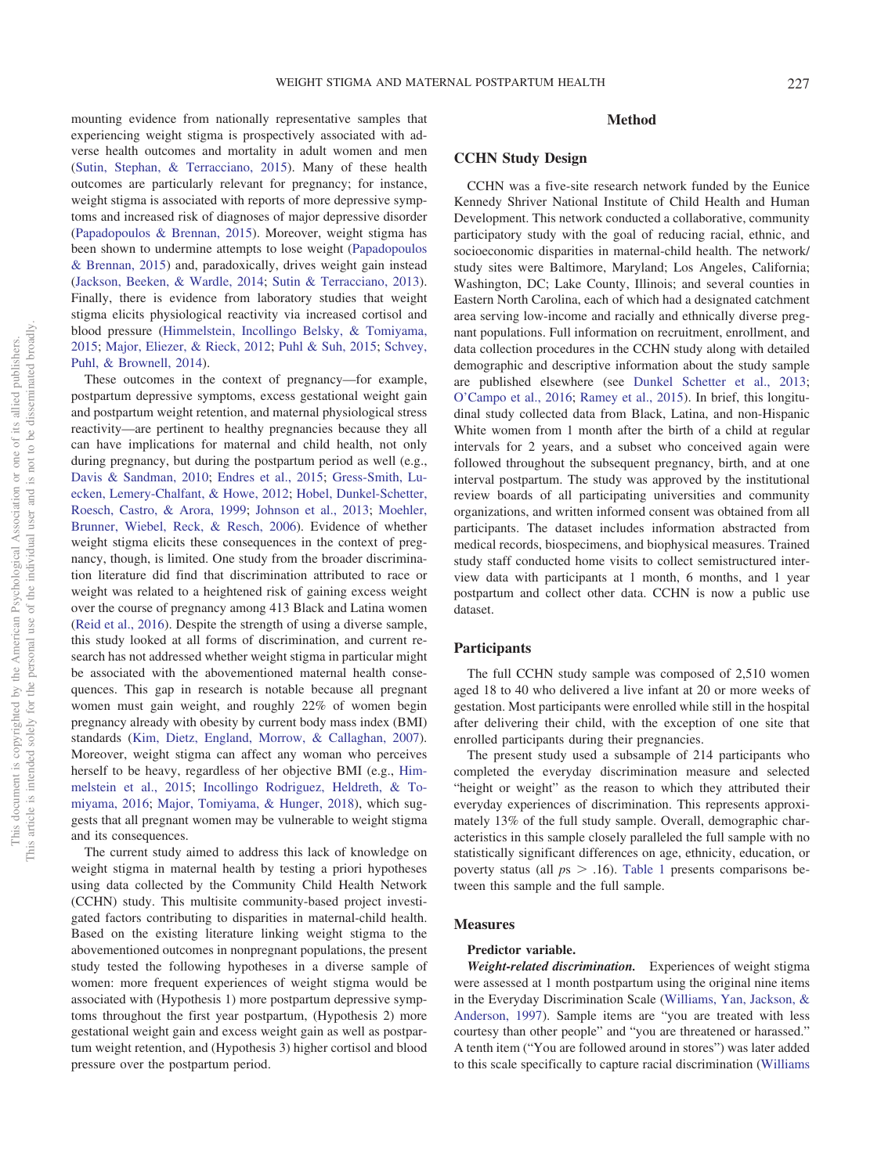mounting evidence from nationally representative samples that experiencing weight stigma is prospectively associated with adverse health outcomes and mortality in adult women and men [\(Sutin, Stephan, & Terracciano, 2015\)](#page-10-3). Many of these health outcomes are particularly relevant for pregnancy; for instance, weight stigma is associated with reports of more depressive symptoms and increased risk of diagnoses of major depressive disorder [\(Papadopoulos & Brennan, 2015\)](#page-10-4). Moreover, weight stigma has been shown to undermine attempts to lose weight [\(Papadopoulos](#page-10-4) [& Brennan, 2015\)](#page-10-4) and, paradoxically, drives weight gain instead [\(Jackson, Beeken, & Wardle, 2014;](#page-10-5) [Sutin & Terracciano, 2013\)](#page-11-0). Finally, there is evidence from laboratory studies that weight stigma elicits physiological reactivity via increased cortisol and blood pressure [\(Himmelstein, Incollingo Belsky, & Tomiyama,](#page-10-6) [2015;](#page-10-6) [Major, Eliezer, & Rieck, 2012;](#page-10-7) [Puhl & Suh, 2015;](#page-10-8) [Schvey,](#page-10-9) [Puhl, & Brownell, 2014\)](#page-10-9).

These outcomes in the context of pregnancy—for example, postpartum depressive symptoms, excess gestational weight gain and postpartum weight retention, and maternal physiological stress reactivity—are pertinent to healthy pregnancies because they all can have implications for maternal and child health, not only during pregnancy, but during the postpartum period as well (e.g., [Davis & Sandman, 2010;](#page-10-10) [Endres et al., 2015;](#page-10-11) [Gress-Smith, Lu](#page-10-12)[ecken, Lemery-Chalfant, & Howe, 2012;](#page-10-12) [Hobel, Dunkel-Schetter,](#page-10-13) [Roesch, Castro, & Arora, 1999;](#page-10-13) [Johnson et al., 2013;](#page-10-14) [Moehler,](#page-10-15) [Brunner, Wiebel, Reck, & Resch, 2006\)](#page-10-15). Evidence of whether weight stigma elicits these consequences in the context of pregnancy, though, is limited. One study from the broader discrimination literature did find that discrimination attributed to race or weight was related to a heightened risk of gaining excess weight over the course of pregnancy among 413 Black and Latina women [\(Reid et al., 2016\)](#page-10-16). Despite the strength of using a diverse sample, this study looked at all forms of discrimination, and current research has not addressed whether weight stigma in particular might be associated with the abovementioned maternal health consequences. This gap in research is notable because all pregnant women must gain weight, and roughly 22% of women begin pregnancy already with obesity by current body mass index (BMI) standards [\(Kim, Dietz, England, Morrow, & Callaghan, 2007\)](#page-10-17). Moreover, weight stigma can affect any woman who perceives herself to be heavy, regardless of her objective BMI (e.g., [Him](#page-10-6)[melstein et al., 2015;](#page-10-6) [Incollingo Rodriguez, Heldreth, & To](#page-10-18)[miyama, 2016;](#page-10-18) [Major, Tomiyama, & Hunger, 2018\)](#page-10-19), which suggests that all pregnant women may be vulnerable to weight stigma and its consequences.

The current study aimed to address this lack of knowledge on weight stigma in maternal health by testing a priori hypotheses using data collected by the Community Child Health Network (CCHN) study. This multisite community-based project investigated factors contributing to disparities in maternal-child health. Based on the existing literature linking weight stigma to the abovementioned outcomes in nonpregnant populations, the present study tested the following hypotheses in a diverse sample of women: more frequent experiences of weight stigma would be associated with (Hypothesis 1) more postpartum depressive symptoms throughout the first year postpartum, (Hypothesis 2) more gestational weight gain and excess weight gain as well as postpartum weight retention, and (Hypothesis 3) higher cortisol and blood pressure over the postpartum period.

### **Method**

### **CCHN Study Design**

CCHN was a five-site research network funded by the Eunice Kennedy Shriver National Institute of Child Health and Human Development. This network conducted a collaborative, community participatory study with the goal of reducing racial, ethnic, and socioeconomic disparities in maternal-child health. The network/ study sites were Baltimore, Maryland; Los Angeles, California; Washington, DC; Lake County, Illinois; and several counties in Eastern North Carolina, each of which had a designated catchment area serving low-income and racially and ethnically diverse pregnant populations. Full information on recruitment, enrollment, and data collection procedures in the CCHN study along with detailed demographic and descriptive information about the study sample are published elsewhere (see [Dunkel Schetter et al., 2013;](#page-10-20) [O'Campo et al., 2016;](#page-10-21) [Ramey et al., 2015\)](#page-10-22). In brief, this longitudinal study collected data from Black, Latina, and non-Hispanic White women from 1 month after the birth of a child at regular intervals for 2 years, and a subset who conceived again were followed throughout the subsequent pregnancy, birth, and at one interval postpartum. The study was approved by the institutional review boards of all participating universities and community organizations, and written informed consent was obtained from all participants. The dataset includes information abstracted from medical records, biospecimens, and biophysical measures. Trained study staff conducted home visits to collect semistructured interview data with participants at 1 month, 6 months, and 1 year postpartum and collect other data. CCHN is now a public use dataset.

### **Participants**

The full CCHN study sample was composed of 2,510 women aged 18 to 40 who delivered a live infant at 20 or more weeks of gestation. Most participants were enrolled while still in the hospital after delivering their child, with the exception of one site that enrolled participants during their pregnancies.

The present study used a subsample of 214 participants who completed the everyday discrimination measure and selected "height or weight" as the reason to which they attributed their everyday experiences of discrimination. This represents approximately 13% of the full study sample. Overall, demographic characteristics in this sample closely paralleled the full sample with no statistically significant differences on age, ethnicity, education, or poverty status (all  $ps > .16$ ). [Table 1](#page-2-0) presents comparisons between this sample and the full sample.

### **Measures**

### **Predictor variable.**

*Weight-related discrimination.* Experiences of weight stigma were assessed at 1 month postpartum using the original nine items in the Everyday Discrimination Scale [\(Williams, Yan, Jackson, &](#page-11-1) [Anderson, 1997\)](#page-11-1). Sample items are "you are treated with less courtesy than other people" and "you are threatened or harassed." A tenth item ("You are followed around in stores") was later added to this scale specifically to capture racial discrimination [\(Williams](#page-11-2)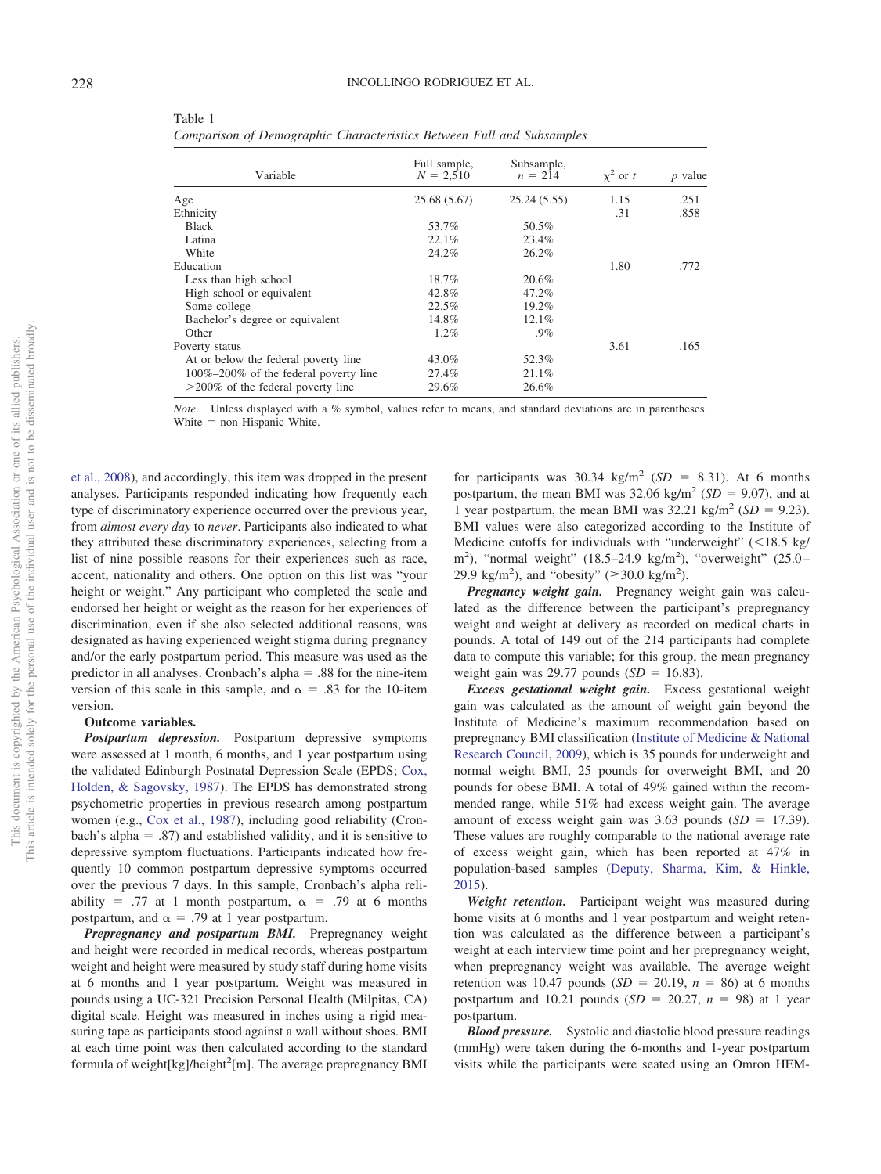| Variable                              | Full sample,<br>$N = 2.510$ | Subsample,<br>$n = 214$ | $\chi^2$ or t | <i>p</i> value |
|---------------------------------------|-----------------------------|-------------------------|---------------|----------------|
| Age                                   | 25.68 (5.67)                | 25.24(5.55)             | 1.15          | .251           |
| Ethnicity                             |                             |                         | .31           | .858           |
| <b>Black</b>                          | 53.7%                       | 50.5%                   |               |                |
| Latina                                | 22.1%                       | 23.4%                   |               |                |
| White                                 | 24.2%                       | 26.2%                   |               |                |
| Education                             |                             |                         | 1.80          | .772           |
| Less than high school                 | 18.7%                       | 20.6%                   |               |                |
| High school or equivalent             | 42.8%                       | 47.2%                   |               |                |
| Some college                          | 22.5%                       | 19.2%                   |               |                |
| Bachelor's degree or equivalent       | 14.8%                       | 12.1%                   |               |                |
| Other                                 | 1.2%                        | .9%                     |               |                |
| Poverty status                        |                             |                         | 3.61          | .165           |
| At or below the federal poverty line  | 43.0%                       | 52.3%                   |               |                |
| 100%-200% of the federal poverty line | 27.4%                       | 21.1%                   |               |                |
| $>$ 200% of the federal poverty line  | 29.6%                       | 26.6%                   |               |                |

<span id="page-2-0"></span>Table 1 *Comparison of Demographic Characteristics Between Full and Subsamples*

*Note*. Unless displayed with a % symbol, values refer to means, and standard deviations are in parentheses. White  $=$  non-Hispanic White.

[et al., 2008\)](#page-11-2), and accordingly, this item was dropped in the present analyses. Participants responded indicating how frequently each type of discriminatory experience occurred over the previous year, from *almost every day* to *never*. Participants also indicated to what they attributed these discriminatory experiences, selecting from a list of nine possible reasons for their experiences such as race, accent, nationality and others. One option on this list was "your height or weight." Any participant who completed the scale and endorsed her height or weight as the reason for her experiences of discrimination, even if she also selected additional reasons, was designated as having experienced weight stigma during pregnancy and/or the early postpartum period. This measure was used as the predictor in all analyses. Cronbach's alpha  $= .88$  for the nine-item version of this scale in this sample, and  $\alpha = .83$  for the 10-item version.

### **Outcome variables.**

*Postpartum depression.* Postpartum depressive symptoms were assessed at 1 month, 6 months, and 1 year postpartum using the validated Edinburgh Postnatal Depression Scale (EPDS; [Cox,](#page-10-23) [Holden, & Sagovsky, 1987\)](#page-10-23). The EPDS has demonstrated strong psychometric properties in previous research among postpartum women (e.g., [Cox et al., 1987\)](#page-10-23), including good reliability (Cronbach's alpha  $= .87$ ) and established validity, and it is sensitive to depressive symptom fluctuations. Participants indicated how frequently 10 common postpartum depressive symptoms occurred over the previous 7 days. In this sample, Cronbach's alpha reliability = .77 at 1 month postpartum,  $\alpha$  = .79 at 6 months postpartum, and  $\alpha = .79$  at 1 year postpartum.

*Prepregnancy and postpartum BMI.* Prepregnancy weight and height were recorded in medical records, whereas postpartum weight and height were measured by study staff during home visits at 6 months and 1 year postpartum. Weight was measured in pounds using a UC-321 Precision Personal Health (Milpitas, CA) digital scale. Height was measured in inches using a rigid measuring tape as participants stood against a wall without shoes. BMI at each time point was then calculated according to the standard formula of weight[kg]/height<sup>2</sup>[m]. The average prepregnancy BMI

for participants was  $30.34 \text{ kg/m}^2$  (*SD* = 8.31). At 6 months postpartum, the mean BMI was  $32.06 \text{ kg/m}^2$  (*SD* = 9.07), and at 1 year postpartum, the mean BMI was  $32.21 \text{ kg/m}^2$  (*SD* = 9.23). BMI values were also categorized according to the Institute of Medicine cutoffs for individuals with "underweight"  $\langle$  <18.5 kg/ m<sup>2</sup>), "normal weight" (18.5-24.9 kg/m<sup>2</sup>), "overweight" (25.0-29.9 kg/m<sup>2</sup>), and "obesity" ( $\geq$ 30.0 kg/m<sup>2</sup>).

*Pregnancy weight gain.* Pregnancy weight gain was calculated as the difference between the participant's prepregnancy weight and weight at delivery as recorded on medical charts in pounds. A total of 149 out of the 214 participants had complete data to compute this variable; for this group, the mean pregnancy weight gain was 29.77 pounds  $(SD = 16.83)$ .

*Excess gestational weight gain.* Excess gestational weight gain was calculated as the amount of weight gain beyond the Institute of Medicine's maximum recommendation based on prepregnancy BMI classification [\(Institute of Medicine & National](#page-10-24) [Research Council, 2009\)](#page-10-24), which is 35 pounds for underweight and normal weight BMI, 25 pounds for overweight BMI, and 20 pounds for obese BMI. A total of 49% gained within the recommended range, while 51% had excess weight gain. The average amount of excess weight gain was  $3.63$  pounds  $(SD = 17.39)$ . These values are roughly comparable to the national average rate of excess weight gain, which has been reported at 47% in population-based samples [\(Deputy, Sharma, Kim, & Hinkle,](#page-10-25) [2015\)](#page-10-25).

*Weight retention.* Participant weight was measured during home visits at 6 months and 1 year postpartum and weight retention was calculated as the difference between a participant's weight at each interview time point and her prepregnancy weight, when prepregnancy weight was available. The average weight retention was 10.47 pounds  $(SD = 20.19, n = 86)$  at 6 months postpartum and 10.21 pounds  $(SD = 20.27, n = 98)$  at 1 year postpartum.

*Blood pressure.* Systolic and diastolic blood pressure readings (mmHg) were taken during the 6-months and 1-year postpartum visits while the participants were seated using an Omron HEM-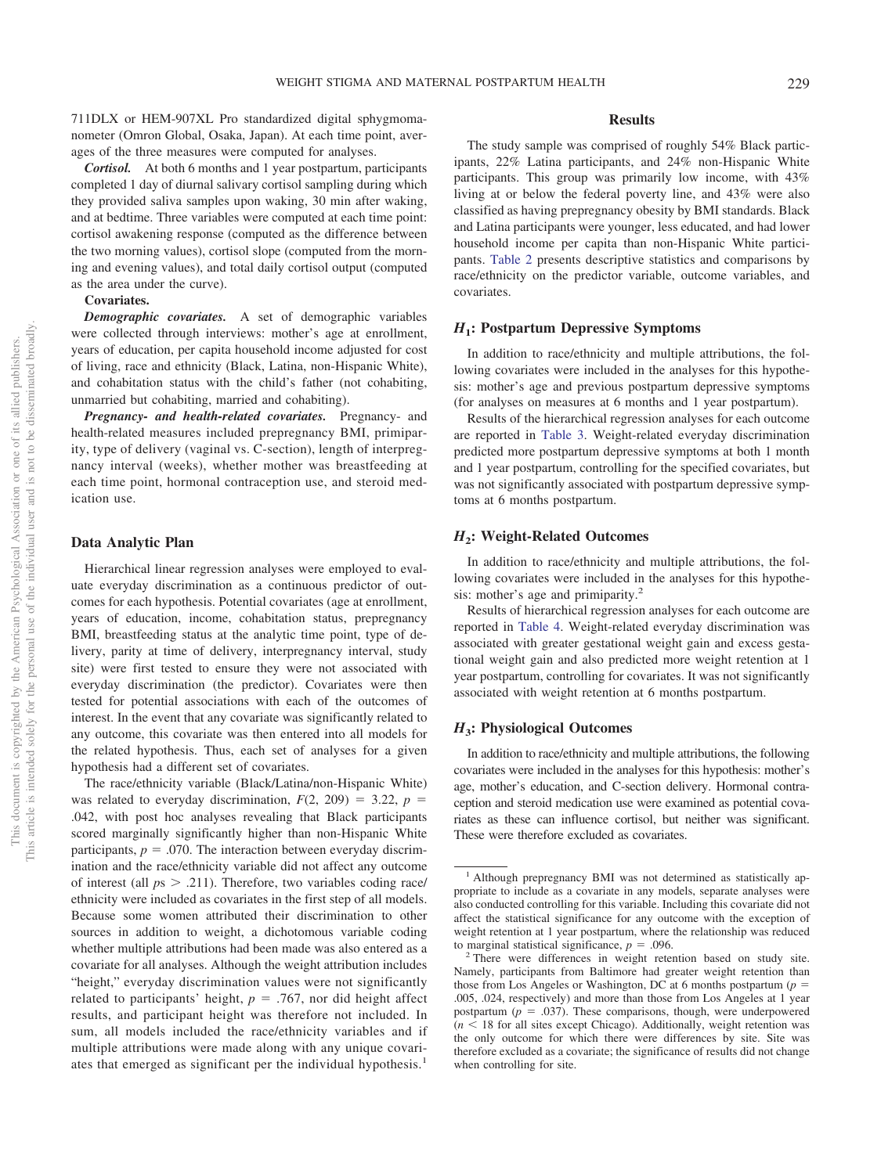711DLX or HEM-907XL Pro standardized digital sphygmomanometer (Omron Global, Osaka, Japan). At each time point, averages of the three measures were computed for analyses.

*Cortisol.* At both 6 months and 1 year postpartum, participants completed 1 day of diurnal salivary cortisol sampling during which they provided saliva samples upon waking, 30 min after waking, and at bedtime. Three variables were computed at each time point: cortisol awakening response (computed as the difference between the two morning values), cortisol slope (computed from the morning and evening values), and total daily cortisol output (computed as the area under the curve).

### **Covariates.**

*Demographic covariates.* A set of demographic variables were collected through interviews: mother's age at enrollment, years of education, per capita household income adjusted for cost of living, race and ethnicity (Black, Latina, non-Hispanic White), and cohabitation status with the child's father (not cohabiting, unmarried but cohabiting, married and cohabiting).

*Pregnancy- and health-related covariates.* Pregnancy- and health-related measures included prepregnancy BMI, primiparity, type of delivery (vaginal vs. C-section), length of interpregnancy interval (weeks), whether mother was breastfeeding at each time point, hormonal contraception use, and steroid medication use.

### **Data Analytic Plan**

Hierarchical linear regression analyses were employed to evaluate everyday discrimination as a continuous predictor of outcomes for each hypothesis. Potential covariates (age at enrollment, years of education, income, cohabitation status, prepregnancy BMI, breastfeeding status at the analytic time point, type of delivery, parity at time of delivery, interpregnancy interval, study site) were first tested to ensure they were not associated with everyday discrimination (the predictor). Covariates were then tested for potential associations with each of the outcomes of interest. In the event that any covariate was significantly related to any outcome, this covariate was then entered into all models for the related hypothesis. Thus, each set of analyses for a given hypothesis had a different set of covariates.

The race/ethnicity variable (Black/Latina/non-Hispanic White) was related to everyday discrimination,  $F(2, 209) = 3.22$ ,  $p =$ .042, with post hoc analyses revealing that Black participants scored marginally significantly higher than non-Hispanic White participants,  $p = .070$ . The interaction between everyday discrimination and the race/ethnicity variable did not affect any outcome of interest (all  $ps > .211$ ). Therefore, two variables coding race/ ethnicity were included as covariates in the first step of all models. Because some women attributed their discrimination to other sources in addition to weight, a dichotomous variable coding whether multiple attributions had been made was also entered as a covariate for all analyses. Although the weight attribution includes "height," everyday discrimination values were not significantly related to participants' height,  $p = .767$ , nor did height affect results, and participant height was therefore not included. In sum, all models included the race/ethnicity variables and if multiple attributions were made along with any unique covariates that emerged as significant per the individual hypothesis.<sup>1</sup>

### **Results**

The study sample was comprised of roughly 54% Black participants, 22% Latina participants, and 24% non-Hispanic White participants. This group was primarily low income, with 43% living at or below the federal poverty line, and 43% were also classified as having prepregnancy obesity by BMI standards. Black and Latina participants were younger, less educated, and had lower household income per capita than non-Hispanic White participants. [Table 2](#page-4-0) presents descriptive statistics and comparisons by race/ethnicity on the predictor variable, outcome variables, and covariates.

### *H***1: Postpartum Depressive Symptoms**

In addition to race/ethnicity and multiple attributions, the following covariates were included in the analyses for this hypothesis: mother's age and previous postpartum depressive symptoms (for analyses on measures at 6 months and 1 year postpartum).

Results of the hierarchical regression analyses for each outcome are reported in [Table 3.](#page-5-0) Weight-related everyday discrimination predicted more postpartum depressive symptoms at both 1 month and 1 year postpartum, controlling for the specified covariates, but was not significantly associated with postpartum depressive symptoms at 6 months postpartum.

### *H***2: Weight-Related Outcomes**

In addition to race/ethnicity and multiple attributions, the following covariates were included in the analyses for this hypothesis: mother's age and primiparity.<sup>2</sup>

Results of hierarchical regression analyses for each outcome are reported in [Table 4.](#page-6-0) Weight-related everyday discrimination was associated with greater gestational weight gain and excess gestational weight gain and also predicted more weight retention at 1 year postpartum, controlling for covariates. It was not significantly associated with weight retention at 6 months postpartum.

### *H***3: Physiological Outcomes**

In addition to race/ethnicity and multiple attributions, the following covariates were included in the analyses for this hypothesis: mother's age, mother's education, and C-section delivery. Hormonal contraception and steroid medication use were examined as potential covariates as these can influence cortisol, but neither was significant. These were therefore excluded as covariates.

<sup>&</sup>lt;sup>1</sup> Although prepregnancy BMI was not determined as statistically appropriate to include as a covariate in any models, separate analyses were also conducted controlling for this variable. Including this covariate did not affect the statistical significance for any outcome with the exception of weight retention at 1 year postpartum, where the relationship was reduced

to marginal statistical significance,  $p = .096$ .<br><sup>2</sup> There were differences in weight retention based on study site. Namely, participants from Baltimore had greater weight retention than those from Los Angeles or Washington, DC at 6 months postpartum  $(p =$ .005, .024, respectively) and more than those from Los Angeles at 1 year postpartum  $(p = .037)$ . These comparisons, though, were underpowered  $(n < 18$  for all sites except Chicago). Additionally, weight retention was the only outcome for which there were differences by site. Site was therefore excluded as a covariate; the significance of results did not change when controlling for site.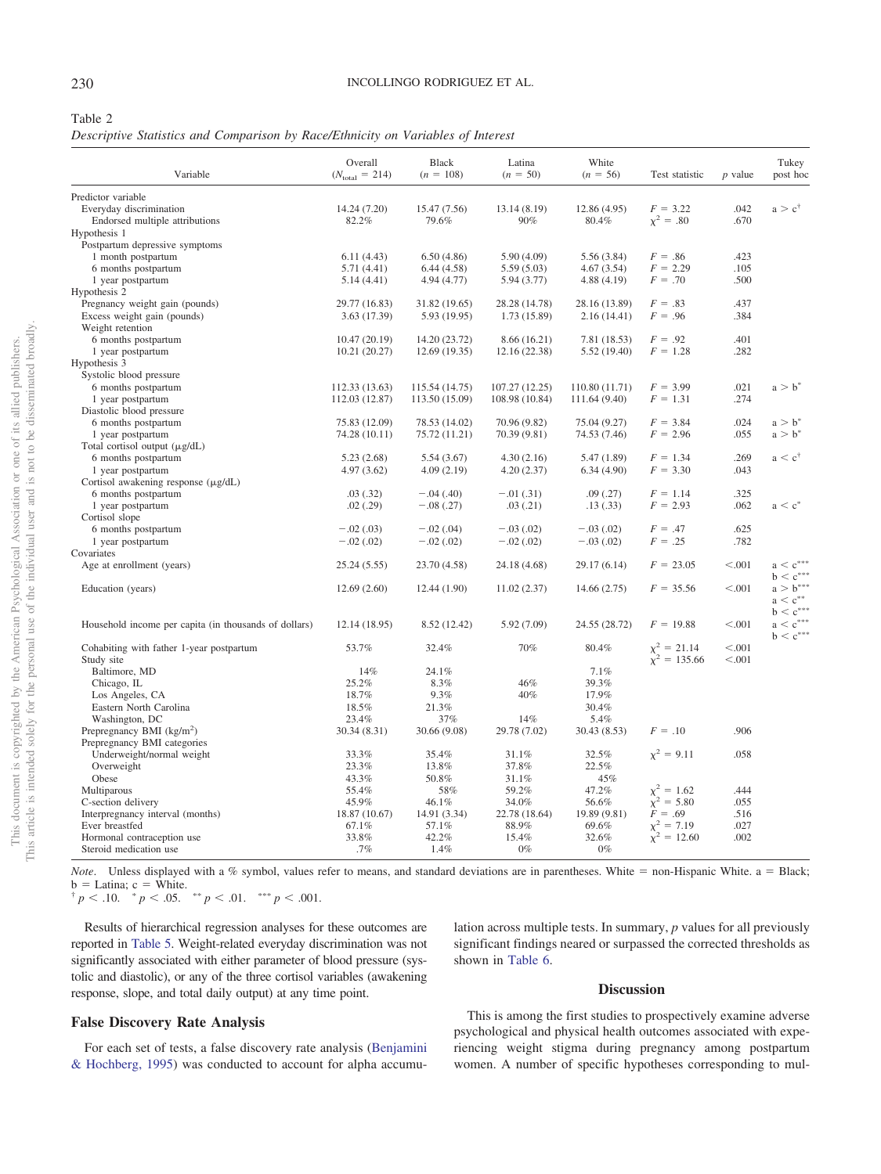### <span id="page-4-0"></span>Table 2

*Descriptive Statistics and Comparison by Race/Ethnicity on Variables of Interest*

| Variable                                                      | Overall<br>$(N_{\text{total}} = 214)$ | <b>Black</b><br>$(n = 108)$   | Latina<br>$(n = 50)$ | White<br>$(n = 56)$          | Test statistic                        | $p$ value    | Tukey<br>post hoc               |
|---------------------------------------------------------------|---------------------------------------|-------------------------------|----------------------|------------------------------|---------------------------------------|--------------|---------------------------------|
| Predictor variable                                            |                                       |                               |                      |                              |                                       |              |                                 |
| Everyday discrimination                                       | 14.24 (7.20)                          | 15.47 (7.56)                  | 13.14 (8.19)         | 12.86 (4.95)                 | $F = 3.22$                            | .042         | $a > c^{\dagger}$               |
| Endorsed multiple attributions                                | 82.2%                                 | 79.6%                         | 90%                  | 80.4%                        | $x^2 = .80$                           | .670         |                                 |
| Hypothesis 1                                                  |                                       |                               |                      |                              |                                       |              |                                 |
| Postpartum depressive symptoms                                |                                       |                               |                      |                              |                                       |              |                                 |
| 1 month postpartum                                            | 6.11(4.43)                            | 6.50(4.86)                    | 5.90(4.09)           | 5.56(3.84)                   | $F = .86$                             | .423         |                                 |
| 6 months postpartum                                           | 5.71(4.41)                            | 6.44(4.58)                    | 5.59(5.03)           | 4.67(3.54)                   | $F = 2.29$                            | .105         |                                 |
| 1 year postpartum                                             | 5.14(4.41)                            | 4.94 (4.77)                   | 5.94(3.77)           | 4.88(4.19)                   | $F = .70$                             | .500         |                                 |
| Hypothesis 2                                                  |                                       |                               | 28.28 (14.78)        |                              | $F = .83$                             | .437         |                                 |
| Pregnancy weight gain (pounds)<br>Excess weight gain (pounds) | 29.77 (16.83)<br>3.63 (17.39)         | 31.82 (19.65)<br>5.93 (19.95) | 1.73 (15.89)         | 28.16 (13.89)<br>2.16(14.41) | $F = .96$                             | .384         |                                 |
| Weight retention                                              |                                       |                               |                      |                              |                                       |              |                                 |
| 6 months postpartum                                           | 10.47(20.19)                          | 14.20 (23.72)                 | 8.66 (16.21)         | 7.81 (18.53)                 | $F = .92$                             | .401         |                                 |
| 1 year postpartum                                             | 10.21(20.27)                          | 12.69 (19.35)                 | 12.16 (22.38)        | 5.52 (19.40)                 | $F = 1.28$                            | .282         |                                 |
| Hypothesis 3                                                  |                                       |                               |                      |                              |                                       |              |                                 |
| Systolic blood pressure                                       |                                       |                               |                      |                              |                                       |              |                                 |
| 6 months postpartum                                           | 112.33 (13.63)                        | 115.54 (14.75)                | 107.27 (12.25)       | 110.80 (11.71)               | $F = 3.99$                            | .021         | $a > b^*$                       |
| 1 year postpartum                                             | 112.03 (12.87)                        | 113.50 (15.09)                | 108.98 (10.84)       | 111.64 (9.40)                | $F = 1.31$                            | .274         |                                 |
| Diastolic blood pressure                                      |                                       |                               |                      |                              |                                       |              |                                 |
| 6 months postpartum                                           | 75.83 (12.09)                         | 78.53 (14.02)                 | 70.96 (9.82)         | 75.04 (9.27)                 | $F = 3.84$                            | .024         | $a > b^*$                       |
| 1 year postpartum                                             | 74.28 (10.11)                         | 75.72 (11.21)                 | 70.39 (9.81)         | 74.53 (7.46)                 | $F = 2.96$                            | .055         | $a > b^*$                       |
| Total cortisol output (µg/dL)                                 |                                       |                               |                      |                              |                                       |              |                                 |
| 6 months postpartum                                           | 5.23(2.68)                            | 5.54(3.67)                    | 4.30(2.16)           | 5.47 (1.89)                  | $F = 1.34$                            | .269         | $a < c^{\dagger}$               |
| 1 year postpartum                                             | 4.97(3.62)                            | 4.09(2.19)                    | 4.20(2.37)           | 6.34(4.90)                   | $F = 3.30$                            | .043         |                                 |
| Cortisol awakening response $(\mu g/dL)$                      |                                       |                               |                      |                              |                                       |              |                                 |
| 6 months postpartum                                           | .03(.32)                              | $-.04(.40)$                   | $-.01(.31)$          | .09(0.27)                    | $F = 1.14$                            | .325         |                                 |
| 1 year postpartum                                             | .02(.29)                              | $-.08(.27)$                   | .03(0.21)            | .13(.33)                     | $F = 2.93$                            | .062         | $a < c^*$                       |
| Cortisol slope                                                |                                       |                               |                      |                              |                                       |              |                                 |
| 6 months postpartum                                           | $-.02(.03)$                           | $-.02(.04)$                   | $-.03(.02)$          | $-.03(.02)$                  | $F = .47$                             | .625         |                                 |
| 1 year postpartum<br>Covariates                               | $-.02(.02)$                           | $-.02(.02)$                   | $-.02(.02)$          | $-.03(.02)$                  | $F = .25$                             | .782         |                                 |
| Age at enrollment (years)                                     | 25.24 (5.55)                          |                               | 24.18 (4.68)         | 29.17 (6.14)                 | $F = 23.05$                           | < .001       | $a < c^{\ast \ast \ast}$        |
|                                                               |                                       | 23.70 (4.58)                  |                      |                              |                                       |              | $b < c^{***}$                   |
| Education (years)                                             | 12.69(2.60)                           | 12.44 (1.90)                  | 11.02(2.37)          | 14.66(2.75)                  | $F = 35.56$                           | < 0.001      | $a > b^{***}$                   |
|                                                               |                                       |                               |                      |                              |                                       |              | $a < c^{**}$                    |
|                                                               |                                       |                               |                      |                              |                                       |              | $\mathbf{b} < \mathbf{c}^{***}$ |
| Household income per capita (in thousands of dollars)         | 12.14 (18.95)                         | 8.52 (12.42)                  | 5.92 (7.09)          | 24.55 (28.72)                | $F = 19.88$                           | < 0.001      | $a < c^{***}$                   |
|                                                               |                                       |                               |                      |                              |                                       |              | $b < c^{***}$                   |
| Cohabiting with father 1-year postpartum                      | 53.7%                                 | 32.4%                         | 70%                  | 80.4%                        |                                       | < .001       |                                 |
| Study site                                                    |                                       |                               |                      |                              | $\chi^2 = 21.14$<br>$\chi^2 = 135.66$ | < .001       |                                 |
| Baltimore, MD                                                 | 14%                                   | 24.1%                         |                      | 7.1%                         |                                       |              |                                 |
| Chicago, IL                                                   | 25.2%                                 | 8.3%                          | 46%                  | 39.3%                        |                                       |              |                                 |
| Los Angeles, CA                                               | 18.7%                                 | 9.3%                          | 40%                  | 17.9%                        |                                       |              |                                 |
| Eastern North Carolina                                        | 18.5%                                 | 21.3%                         |                      | 30.4%                        |                                       |              |                                 |
| Washington, DC                                                | 23.4%                                 | 37%                           | 14%                  | 5.4%                         |                                       |              |                                 |
| Prepregnancy BMI $(kg/m2)$                                    | 30.34 (8.31)                          | 30.66 (9.08)                  | 29.78 (7.02)         | 30.43 (8.53)                 | $F=.10$                               | .906         |                                 |
| Prepregnancy BMI categories                                   |                                       |                               |                      |                              |                                       |              |                                 |
| Underweight/normal weight                                     | 33.3%                                 | 35.4%                         | 31.1%                | 32.5%                        | $x^2 = 9.11$                          | .058         |                                 |
| Overweight                                                    | 23.3%                                 | 13.8%                         | 37.8%                | 22.5%                        |                                       |              |                                 |
| Obese                                                         | 43.3%                                 | 50.8%                         | 31.1%                | 45%                          |                                       |              |                                 |
| Multiparous                                                   | 55.4%                                 | 58%                           | 59.2%                | 47.2%                        | $\chi^2 = 1.62$<br>$\chi^2 = 5.80$    | .444         |                                 |
| C-section delivery                                            | 45.9%                                 | 46.1%                         | 34.0%                | 56.6%                        |                                       | .055         |                                 |
| Interpregnancy interval (months)                              | 18.87 (10.67)                         | 14.91 (3.34)                  | 22.78 (18.64)        | 19.89 (9.81)                 | $F = .69$                             | .516         |                                 |
| Ever breastfed<br>Hormonal contraception use                  | 67.1%<br>33.8%                        | 57.1%<br>42.2%                | 88.9%<br>15.4%       | 69.6%<br>32.6%               | $\chi^2 = 7.19$<br>$\chi^2 = 12.60$   | .027<br>.002 |                                 |
| Steroid medication use                                        | .7%                                   | 1.4%                          | $0\%$                | $0\%$                        |                                       |              |                                 |
|                                                               |                                       |                               |                      |                              |                                       |              |                                 |

*Note*. Unless displayed with a % symbol, values refer to means, and standard deviations are in parentheses. White  $=$  non-Hispanic White. a  $=$  Black; b  $=$  Latina; c  $=$  White.

b = Latina; c = White.<br>  $\begin{cases} \n\dot{p} = 0.10. \quad \dot{p} = 0.05. \quad \dot{p} = 0.01. \quad \dot{p} = 0.01. \n\end{cases}$ 

Results of hierarchical regression analyses for these outcomes are reported in [Table 5.](#page-7-0) Weight-related everyday discrimination was not significantly associated with either parameter of blood pressure (systolic and diastolic), or any of the three cortisol variables (awakening response, slope, and total daily output) at any time point.

# lation across multiple tests. In summary, *p* values for all previously significant findings neared or surpassed the corrected thresholds as shown in [Table 6.](#page-9-1)

# **Discussion**

# **False Discovery Rate Analysis**

For each set of tests, a false discovery rate analysis [\(Benjamini](#page-9-0) [& Hochberg, 1995\)](#page-9-0) was conducted to account for alpha accumu-

This is among the first studies to prospectively examine adverse psychological and physical health outcomes associated with experiencing weight stigma during pregnancy among postpartum women. A number of specific hypotheses corresponding to mul-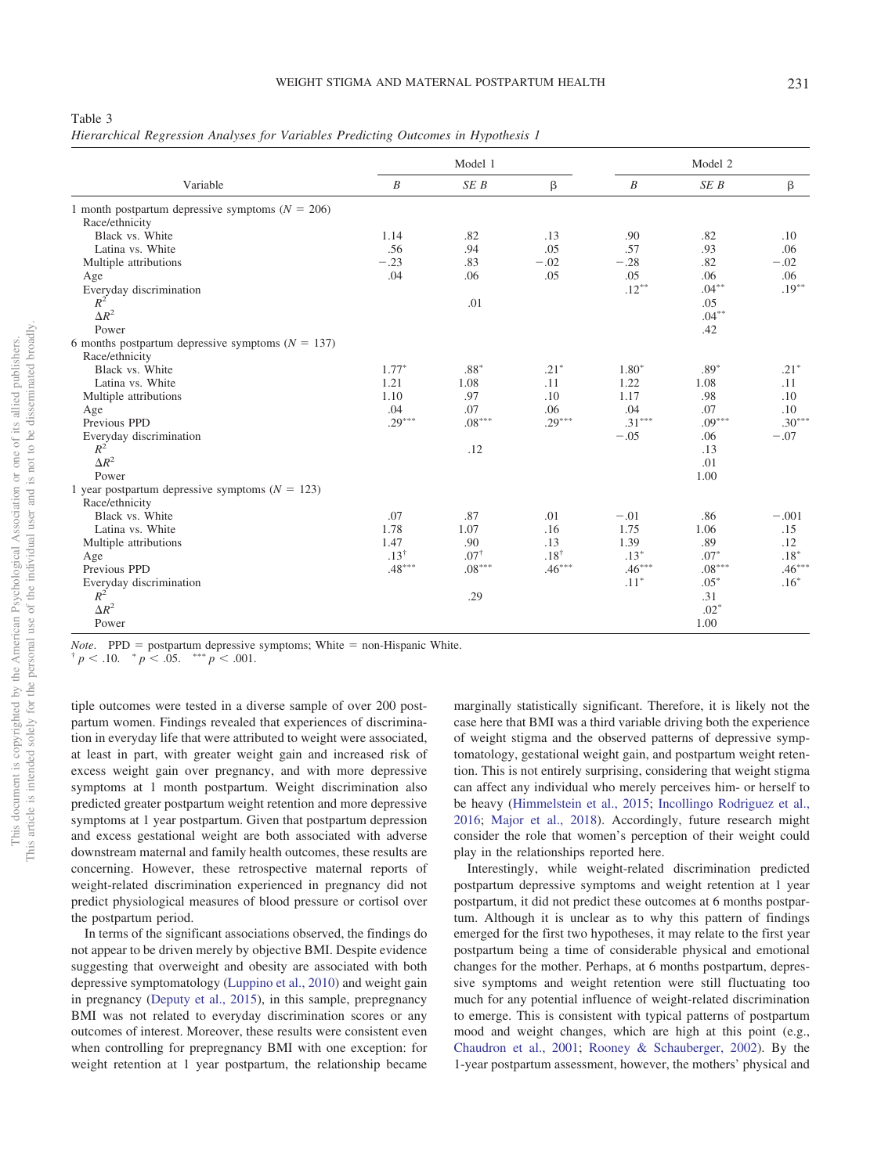<span id="page-5-0"></span>Table 3

*Hierarchical Regression Analyses for Variables Predicting Outcomes in Hypothesis 1*

|                                                      |                  | Model 1         | Model 2   |                  |          |          |
|------------------------------------------------------|------------------|-----------------|-----------|------------------|----------|----------|
| Variable                                             | $\boldsymbol{B}$ | SEB             | β         | $\boldsymbol{B}$ | SE B     | β        |
| 1 month postpartum depressive symptoms ( $N = 206$ ) |                  |                 |           |                  |          |          |
| Race/ethnicity                                       |                  |                 |           |                  |          |          |
| Black vs. White                                      | 1.14             | .82             | .13       | .90              | .82      | .10      |
| Latina vs. White                                     | .56              | .94             | .05       | .57              | .93      | .06      |
| Multiple attributions                                | $-.23$           | .83             | $-.02$    | $-.28$           | .82      | $-.02$   |
| Age                                                  | .04              | .06             | .05       | .05              | .06      | .06      |
| Everyday discrimination                              |                  |                 |           | $.12***$         | $.04***$ | $.19***$ |
| $R^2$                                                |                  | .01             |           |                  | .05      |          |
| $\Delta R^2$                                         |                  |                 |           |                  | $.04***$ |          |
| Power                                                |                  |                 |           |                  | .42      |          |
| 6 months postpartum depressive symptoms $(N = 137)$  |                  |                 |           |                  |          |          |
| Race/ethnicity                                       |                  |                 |           |                  |          |          |
| Black vs. White                                      | $1.77*$          | $.88*$          | $.21*$    | $1.80*$          | $.89*$   | $.21*$   |
| Latina vs. White                                     | 1.21             | 1.08            | .11       | 1.22             | 1.08     | .11      |
| Multiple attributions                                | 1.10             | .97             | .10       | 1.17             | .98      | .10      |
| Age                                                  | .04              | .07             | .06       | .04              | .07      | .10      |
| Previous PPD                                         | $.29***$         | $.08***$        | $.29***$  | $.31***$         | $.09***$ | $.30***$ |
| Everyday discrimination                              |                  |                 |           | $-.05$           | .06      | $-.07$   |
| $R^2$                                                |                  | .12             |           |                  | .13      |          |
| $\Delta R^2$                                         |                  |                 |           |                  | .01      |          |
| Power                                                |                  |                 |           |                  | 1.00     |          |
| 1 year postpartum depressive symptoms ( $N = 123$ )  |                  |                 |           |                  |          |          |
| Race/ethnicity                                       |                  |                 |           |                  |          |          |
| Black vs. White                                      | .07              | .87             | .01       | $-.01$           | .86      | $-.001$  |
| Latina vs. White                                     | 1.78             | 1.07            | .16       | 1.75             | 1.06     | .15      |
| Multiple attributions                                | 1.47             | .90             | .13       | 1.39             | .89      | .12      |
| Age                                                  | $.13^{+}$        | $.07^{\dagger}$ | $.18^{+}$ | $.13*$           | $.07*$   | $.18*$   |
| Previous PPD                                         | $.48***$         | $.08***$        | $.46***$  | $.46***$         | $.08***$ | $.46***$ |
| Everyday discrimination                              |                  |                 |           | $.11*$           | $.05*$   | $.16*$   |
| $R^2$                                                |                  | .29             |           |                  | .31      |          |
| $\Delta R^2$                                         |                  |                 |           |                  | $.02*$   |          |
| Power                                                |                  |                 |           |                  | 1.00     |          |

# This article is intended solely for the personal use of the individual user and is not to be disseminated broadly, This article is intended solely for the personal use of the individual user and is not to be disseminated broadly.

This document is copyrighted by the American Psychological Association or one of its allied publishers.

This document is copyrighted by the American Psychological Association or one of its allied publishers.

*Note*. PPD = postpartum depressive symptoms; White = non-Hispanic White.

 $p < 0.05$ . \*\*\*  $p < 0.01$ .

tiple outcomes were tested in a diverse sample of over 200 postpartum women. Findings revealed that experiences of discrimination in everyday life that were attributed to weight were associated, at least in part, with greater weight gain and increased risk of excess weight gain over pregnancy, and with more depressive symptoms at 1 month postpartum. Weight discrimination also predicted greater postpartum weight retention and more depressive symptoms at 1 year postpartum. Given that postpartum depression and excess gestational weight are both associated with adverse downstream maternal and family health outcomes, these results are concerning. However, these retrospective maternal reports of weight-related discrimination experienced in pregnancy did not predict physiological measures of blood pressure or cortisol over the postpartum period.

In terms of the significant associations observed, the findings do not appear to be driven merely by objective BMI. Despite evidence suggesting that overweight and obesity are associated with both depressive symptomatology [\(Luppino et al., 2010\)](#page-10-26) and weight gain in pregnancy [\(Deputy et al., 2015\)](#page-10-25), in this sample, prepregnancy BMI was not related to everyday discrimination scores or any outcomes of interest. Moreover, these results were consistent even when controlling for prepregnancy BMI with one exception: for weight retention at 1 year postpartum, the relationship became marginally statistically significant. Therefore, it is likely not the case here that BMI was a third variable driving both the experience of weight stigma and the observed patterns of depressive symptomatology, gestational weight gain, and postpartum weight retention. This is not entirely surprising, considering that weight stigma can affect any individual who merely perceives him- or herself to be heavy [\(Himmelstein et al., 2015;](#page-10-6) [Incollingo Rodriguez et al.,](#page-10-18) [2016;](#page-10-18) [Major et al., 2018\)](#page-10-19). Accordingly, future research might consider the role that women's perception of their weight could play in the relationships reported here.

Interestingly, while weight-related discrimination predicted postpartum depressive symptoms and weight retention at 1 year postpartum, it did not predict these outcomes at 6 months postpartum. Although it is unclear as to why this pattern of findings emerged for the first two hypotheses, it may relate to the first year postpartum being a time of considerable physical and emotional changes for the mother. Perhaps, at 6 months postpartum, depressive symptoms and weight retention were still fluctuating too much for any potential influence of weight-related discrimination to emerge. This is consistent with typical patterns of postpartum mood and weight changes, which are high at this point (e.g., [Chaudron et al., 2001;](#page-10-27) [Rooney & Schauberger, 2002\)](#page-10-28). By the 1-year postpartum assessment, however, the mothers' physical and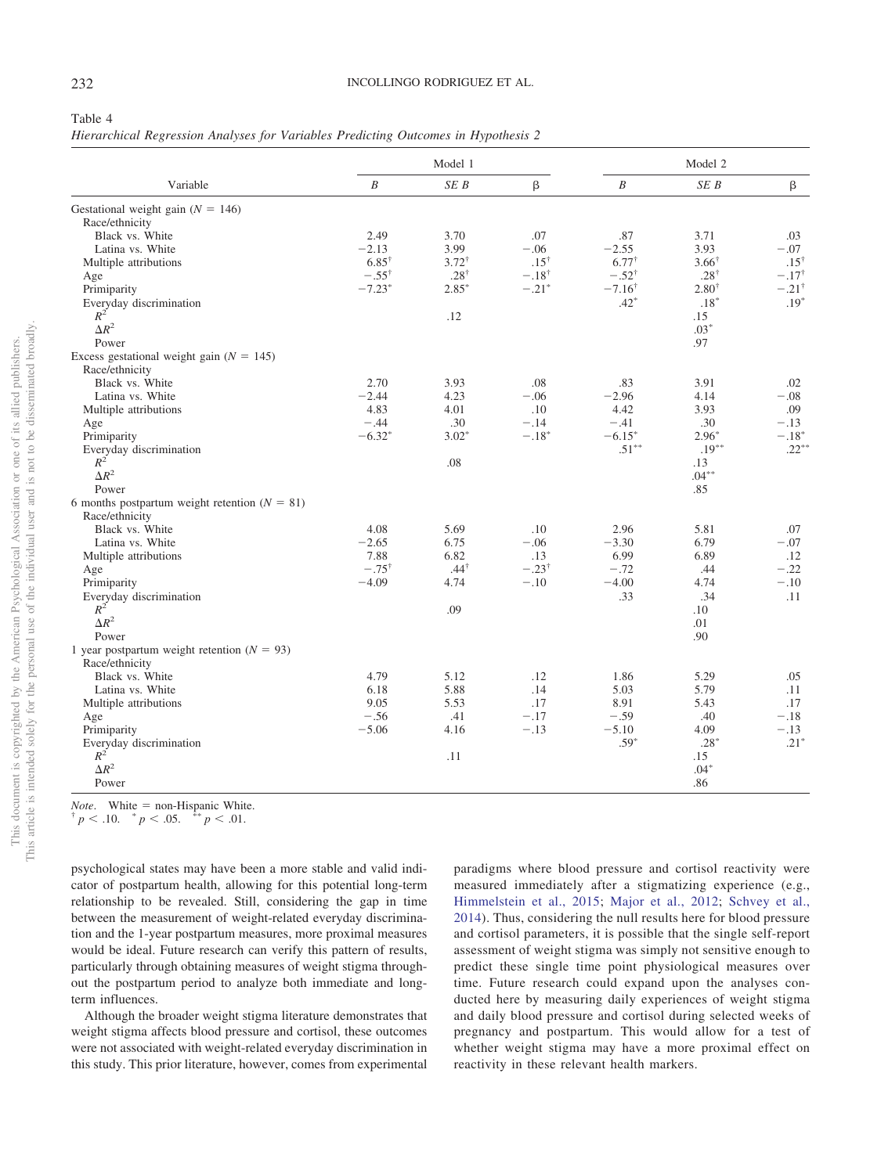### <span id="page-6-0"></span>Table 4

| Hierarchical Regression Analyses for Variables Predicting Outcomes in Hypothesis 2 |  |  |  |  |  |
|------------------------------------------------------------------------------------|--|--|--|--|--|
|                                                                                    |  |  |  |  |  |

| β<br>$\boldsymbol{B}$<br>SEB<br>$\boldsymbol{B}$<br>β<br>Variable<br>SE B<br>Gestational weight gain ( $N = 146$ )<br>Race/ethnicity<br>Black vs. White<br>2.49<br>3.70<br>.07<br>.87<br>3.71<br>.03<br>$-2.13$<br>3.99<br>$-.06$<br>$-2.55$<br>3.93<br>$-.07$<br>Latina vs. White<br>$6.85^{\dagger}$<br>$3.72^{\dagger}$<br>$.15^{\dagger}$<br>$6.77^{\dagger}$<br>$3.66^{\dagger}$<br>Multiple attributions<br>$.28^{\dagger}$<br>$-.18^{\dagger}$<br>$-.55^{\dagger}$<br>$-.52^{\dagger}$<br>$.28^{+}$<br>Age<br>$-7.23*$<br>$-.21*$<br>$-7.16^{\dagger}$<br>$2.80^{\dagger}$<br>Primiparity<br>$2.85*$<br>$.42*$<br>Everyday discrimination<br>$.18*$<br>$R^2$<br>.12<br>.15<br>$\Delta R^2$<br>$.03*$<br>.97<br>Power<br>Excess gestational weight gain ( $N = 145$ )<br>Race/ethnicity<br>Black vs. White<br>2.70<br>3.93<br>.08<br>3.91<br>.83<br>.02<br>$-2.44$<br>$-.06$<br>$-2.96$<br>4.14<br>$-.08$<br>Latina vs. White<br>4.23<br>.09<br>Multiple attributions<br>4.83<br>4.01<br>.10<br>4.42<br>3.93<br>$-.44$<br>.30<br>$-.14$<br>$-.41$<br>.30<br>$-.13$<br>Age<br>$-6.32*$<br>$-.18*$<br>$3.02*$<br>$-6.15*$<br>$2.96*$<br>Primiparity<br>$.51***$<br>$.19***$<br>Everyday discrimination<br>$R^2$<br>.08<br>.13<br>$\Delta R^2$<br>$.04***$<br>.85<br>Power<br>6 months postpartum weight retention $(N = 81)$<br>Race/ethnicity<br>2.96<br>Black vs. White<br>4.08<br>5.69<br>.10<br>5.81<br>.07<br>Latina vs. White<br>$-2.65$<br>6.75<br>$-.06$<br>$-3.30$<br>6.79<br>$-.07$<br>7.88<br>6.82<br>6.99<br>6.89<br>.12<br>Multiple attributions<br>.13<br>$-.75^{\dagger}$<br>$.44^{\dagger}$<br>$-.23^{\dagger}$<br>$-.72$<br>.44<br>$-.22$<br>Age<br>$-4.09$<br>$-.10$<br>$-4.00$<br>4.74<br>$-.10$<br>Primiparity<br>4.74<br>.33<br>.34<br>Everyday discrimination<br>.11<br>$R^2$<br>.09<br>.10<br>$\Delta R^2$<br>.01<br>.90<br>Power<br>1 year postpartum weight retention $(N = 93)$<br>Race/ethnicity<br>Black vs. White<br>4.79<br>5.12<br>.12<br>1.86<br>5.29<br>.05<br>.14<br>6.18<br>5.88<br>5.03<br>5.79<br>.11<br>Latina vs. White<br>9.05<br>5.53<br>Multiple attributions<br>.17<br>8.91<br>5.43<br>.17<br>$-.59$<br>$-.56$<br>.41<br>$-.17$<br>.40<br>$-.18$<br>Age<br>$-.13$<br>$-5.10$<br>4.09<br>Primiparity<br>$-5.06$<br>4.16<br>$-.13$<br>$.59*$<br>$.28*$<br>Everyday discrimination<br>$R^2$<br>.11<br>.15<br>$\Delta R^2$<br>$.04*$ |       | Model 1 | Model 2 |     |                  |
|---------------------------------------------------------------------------------------------------------------------------------------------------------------------------------------------------------------------------------------------------------------------------------------------------------------------------------------------------------------------------------------------------------------------------------------------------------------------------------------------------------------------------------------------------------------------------------------------------------------------------------------------------------------------------------------------------------------------------------------------------------------------------------------------------------------------------------------------------------------------------------------------------------------------------------------------------------------------------------------------------------------------------------------------------------------------------------------------------------------------------------------------------------------------------------------------------------------------------------------------------------------------------------------------------------------------------------------------------------------------------------------------------------------------------------------------------------------------------------------------------------------------------------------------------------------------------------------------------------------------------------------------------------------------------------------------------------------------------------------------------------------------------------------------------------------------------------------------------------------------------------------------------------------------------------------------------------------------------------------------------------------------------------------------------------------------------------------------------------------------------------------------------------------------------------------------------------------------------------------------------------------------------------------------------------------------------------------------------------------------------------|-------|---------|---------|-----|------------------|
|                                                                                                                                                                                                                                                                                                                                                                                                                                                                                                                                                                                                                                                                                                                                                                                                                                                                                                                                                                                                                                                                                                                                                                                                                                                                                                                                                                                                                                                                                                                                                                                                                                                                                                                                                                                                                                                                                                                                                                                                                                                                                                                                                                                                                                                                                                                                                                                 |       |         |         |     |                  |
|                                                                                                                                                                                                                                                                                                                                                                                                                                                                                                                                                                                                                                                                                                                                                                                                                                                                                                                                                                                                                                                                                                                                                                                                                                                                                                                                                                                                                                                                                                                                                                                                                                                                                                                                                                                                                                                                                                                                                                                                                                                                                                                                                                                                                                                                                                                                                                                 |       |         |         |     |                  |
|                                                                                                                                                                                                                                                                                                                                                                                                                                                                                                                                                                                                                                                                                                                                                                                                                                                                                                                                                                                                                                                                                                                                                                                                                                                                                                                                                                                                                                                                                                                                                                                                                                                                                                                                                                                                                                                                                                                                                                                                                                                                                                                                                                                                                                                                                                                                                                                 |       |         |         |     |                  |
|                                                                                                                                                                                                                                                                                                                                                                                                                                                                                                                                                                                                                                                                                                                                                                                                                                                                                                                                                                                                                                                                                                                                                                                                                                                                                                                                                                                                                                                                                                                                                                                                                                                                                                                                                                                                                                                                                                                                                                                                                                                                                                                                                                                                                                                                                                                                                                                 |       |         |         |     |                  |
|                                                                                                                                                                                                                                                                                                                                                                                                                                                                                                                                                                                                                                                                                                                                                                                                                                                                                                                                                                                                                                                                                                                                                                                                                                                                                                                                                                                                                                                                                                                                                                                                                                                                                                                                                                                                                                                                                                                                                                                                                                                                                                                                                                                                                                                                                                                                                                                 |       |         |         |     |                  |
|                                                                                                                                                                                                                                                                                                                                                                                                                                                                                                                                                                                                                                                                                                                                                                                                                                                                                                                                                                                                                                                                                                                                                                                                                                                                                                                                                                                                                                                                                                                                                                                                                                                                                                                                                                                                                                                                                                                                                                                                                                                                                                                                                                                                                                                                                                                                                                                 |       |         |         |     | $.15^{\dagger}$  |
|                                                                                                                                                                                                                                                                                                                                                                                                                                                                                                                                                                                                                                                                                                                                                                                                                                                                                                                                                                                                                                                                                                                                                                                                                                                                                                                                                                                                                                                                                                                                                                                                                                                                                                                                                                                                                                                                                                                                                                                                                                                                                                                                                                                                                                                                                                                                                                                 |       |         |         |     | $-.17^{\dagger}$ |
|                                                                                                                                                                                                                                                                                                                                                                                                                                                                                                                                                                                                                                                                                                                                                                                                                                                                                                                                                                                                                                                                                                                                                                                                                                                                                                                                                                                                                                                                                                                                                                                                                                                                                                                                                                                                                                                                                                                                                                                                                                                                                                                                                                                                                                                                                                                                                                                 |       |         |         |     | $-.21^{\dagger}$ |
|                                                                                                                                                                                                                                                                                                                                                                                                                                                                                                                                                                                                                                                                                                                                                                                                                                                                                                                                                                                                                                                                                                                                                                                                                                                                                                                                                                                                                                                                                                                                                                                                                                                                                                                                                                                                                                                                                                                                                                                                                                                                                                                                                                                                                                                                                                                                                                                 |       |         |         |     | $.19*$           |
|                                                                                                                                                                                                                                                                                                                                                                                                                                                                                                                                                                                                                                                                                                                                                                                                                                                                                                                                                                                                                                                                                                                                                                                                                                                                                                                                                                                                                                                                                                                                                                                                                                                                                                                                                                                                                                                                                                                                                                                                                                                                                                                                                                                                                                                                                                                                                                                 |       |         |         |     |                  |
|                                                                                                                                                                                                                                                                                                                                                                                                                                                                                                                                                                                                                                                                                                                                                                                                                                                                                                                                                                                                                                                                                                                                                                                                                                                                                                                                                                                                                                                                                                                                                                                                                                                                                                                                                                                                                                                                                                                                                                                                                                                                                                                                                                                                                                                                                                                                                                                 |       |         |         |     |                  |
|                                                                                                                                                                                                                                                                                                                                                                                                                                                                                                                                                                                                                                                                                                                                                                                                                                                                                                                                                                                                                                                                                                                                                                                                                                                                                                                                                                                                                                                                                                                                                                                                                                                                                                                                                                                                                                                                                                                                                                                                                                                                                                                                                                                                                                                                                                                                                                                 |       |         |         |     |                  |
|                                                                                                                                                                                                                                                                                                                                                                                                                                                                                                                                                                                                                                                                                                                                                                                                                                                                                                                                                                                                                                                                                                                                                                                                                                                                                                                                                                                                                                                                                                                                                                                                                                                                                                                                                                                                                                                                                                                                                                                                                                                                                                                                                                                                                                                                                                                                                                                 |       |         |         |     |                  |
|                                                                                                                                                                                                                                                                                                                                                                                                                                                                                                                                                                                                                                                                                                                                                                                                                                                                                                                                                                                                                                                                                                                                                                                                                                                                                                                                                                                                                                                                                                                                                                                                                                                                                                                                                                                                                                                                                                                                                                                                                                                                                                                                                                                                                                                                                                                                                                                 |       |         |         |     |                  |
|                                                                                                                                                                                                                                                                                                                                                                                                                                                                                                                                                                                                                                                                                                                                                                                                                                                                                                                                                                                                                                                                                                                                                                                                                                                                                                                                                                                                                                                                                                                                                                                                                                                                                                                                                                                                                                                                                                                                                                                                                                                                                                                                                                                                                                                                                                                                                                                 |       |         |         |     |                  |
|                                                                                                                                                                                                                                                                                                                                                                                                                                                                                                                                                                                                                                                                                                                                                                                                                                                                                                                                                                                                                                                                                                                                                                                                                                                                                                                                                                                                                                                                                                                                                                                                                                                                                                                                                                                                                                                                                                                                                                                                                                                                                                                                                                                                                                                                                                                                                                                 |       |         |         |     |                  |
|                                                                                                                                                                                                                                                                                                                                                                                                                                                                                                                                                                                                                                                                                                                                                                                                                                                                                                                                                                                                                                                                                                                                                                                                                                                                                                                                                                                                                                                                                                                                                                                                                                                                                                                                                                                                                                                                                                                                                                                                                                                                                                                                                                                                                                                                                                                                                                                 |       |         |         |     |                  |
|                                                                                                                                                                                                                                                                                                                                                                                                                                                                                                                                                                                                                                                                                                                                                                                                                                                                                                                                                                                                                                                                                                                                                                                                                                                                                                                                                                                                                                                                                                                                                                                                                                                                                                                                                                                                                                                                                                                                                                                                                                                                                                                                                                                                                                                                                                                                                                                 |       |         |         |     |                  |
|                                                                                                                                                                                                                                                                                                                                                                                                                                                                                                                                                                                                                                                                                                                                                                                                                                                                                                                                                                                                                                                                                                                                                                                                                                                                                                                                                                                                                                                                                                                                                                                                                                                                                                                                                                                                                                                                                                                                                                                                                                                                                                                                                                                                                                                                                                                                                                                 |       |         |         |     | $-.18*$          |
|                                                                                                                                                                                                                                                                                                                                                                                                                                                                                                                                                                                                                                                                                                                                                                                                                                                                                                                                                                                                                                                                                                                                                                                                                                                                                                                                                                                                                                                                                                                                                                                                                                                                                                                                                                                                                                                                                                                                                                                                                                                                                                                                                                                                                                                                                                                                                                                 |       |         |         |     | $.22***$         |
|                                                                                                                                                                                                                                                                                                                                                                                                                                                                                                                                                                                                                                                                                                                                                                                                                                                                                                                                                                                                                                                                                                                                                                                                                                                                                                                                                                                                                                                                                                                                                                                                                                                                                                                                                                                                                                                                                                                                                                                                                                                                                                                                                                                                                                                                                                                                                                                 |       |         |         |     |                  |
|                                                                                                                                                                                                                                                                                                                                                                                                                                                                                                                                                                                                                                                                                                                                                                                                                                                                                                                                                                                                                                                                                                                                                                                                                                                                                                                                                                                                                                                                                                                                                                                                                                                                                                                                                                                                                                                                                                                                                                                                                                                                                                                                                                                                                                                                                                                                                                                 |       |         |         |     |                  |
|                                                                                                                                                                                                                                                                                                                                                                                                                                                                                                                                                                                                                                                                                                                                                                                                                                                                                                                                                                                                                                                                                                                                                                                                                                                                                                                                                                                                                                                                                                                                                                                                                                                                                                                                                                                                                                                                                                                                                                                                                                                                                                                                                                                                                                                                                                                                                                                 |       |         |         |     |                  |
|                                                                                                                                                                                                                                                                                                                                                                                                                                                                                                                                                                                                                                                                                                                                                                                                                                                                                                                                                                                                                                                                                                                                                                                                                                                                                                                                                                                                                                                                                                                                                                                                                                                                                                                                                                                                                                                                                                                                                                                                                                                                                                                                                                                                                                                                                                                                                                                 |       |         |         |     |                  |
|                                                                                                                                                                                                                                                                                                                                                                                                                                                                                                                                                                                                                                                                                                                                                                                                                                                                                                                                                                                                                                                                                                                                                                                                                                                                                                                                                                                                                                                                                                                                                                                                                                                                                                                                                                                                                                                                                                                                                                                                                                                                                                                                                                                                                                                                                                                                                                                 |       |         |         |     |                  |
|                                                                                                                                                                                                                                                                                                                                                                                                                                                                                                                                                                                                                                                                                                                                                                                                                                                                                                                                                                                                                                                                                                                                                                                                                                                                                                                                                                                                                                                                                                                                                                                                                                                                                                                                                                                                                                                                                                                                                                                                                                                                                                                                                                                                                                                                                                                                                                                 |       |         |         |     |                  |
|                                                                                                                                                                                                                                                                                                                                                                                                                                                                                                                                                                                                                                                                                                                                                                                                                                                                                                                                                                                                                                                                                                                                                                                                                                                                                                                                                                                                                                                                                                                                                                                                                                                                                                                                                                                                                                                                                                                                                                                                                                                                                                                                                                                                                                                                                                                                                                                 |       |         |         |     |                  |
|                                                                                                                                                                                                                                                                                                                                                                                                                                                                                                                                                                                                                                                                                                                                                                                                                                                                                                                                                                                                                                                                                                                                                                                                                                                                                                                                                                                                                                                                                                                                                                                                                                                                                                                                                                                                                                                                                                                                                                                                                                                                                                                                                                                                                                                                                                                                                                                 |       |         |         |     |                  |
|                                                                                                                                                                                                                                                                                                                                                                                                                                                                                                                                                                                                                                                                                                                                                                                                                                                                                                                                                                                                                                                                                                                                                                                                                                                                                                                                                                                                                                                                                                                                                                                                                                                                                                                                                                                                                                                                                                                                                                                                                                                                                                                                                                                                                                                                                                                                                                                 |       |         |         |     |                  |
|                                                                                                                                                                                                                                                                                                                                                                                                                                                                                                                                                                                                                                                                                                                                                                                                                                                                                                                                                                                                                                                                                                                                                                                                                                                                                                                                                                                                                                                                                                                                                                                                                                                                                                                                                                                                                                                                                                                                                                                                                                                                                                                                                                                                                                                                                                                                                                                 |       |         |         |     |                  |
|                                                                                                                                                                                                                                                                                                                                                                                                                                                                                                                                                                                                                                                                                                                                                                                                                                                                                                                                                                                                                                                                                                                                                                                                                                                                                                                                                                                                                                                                                                                                                                                                                                                                                                                                                                                                                                                                                                                                                                                                                                                                                                                                                                                                                                                                                                                                                                                 |       |         |         |     |                  |
|                                                                                                                                                                                                                                                                                                                                                                                                                                                                                                                                                                                                                                                                                                                                                                                                                                                                                                                                                                                                                                                                                                                                                                                                                                                                                                                                                                                                                                                                                                                                                                                                                                                                                                                                                                                                                                                                                                                                                                                                                                                                                                                                                                                                                                                                                                                                                                                 |       |         |         |     |                  |
|                                                                                                                                                                                                                                                                                                                                                                                                                                                                                                                                                                                                                                                                                                                                                                                                                                                                                                                                                                                                                                                                                                                                                                                                                                                                                                                                                                                                                                                                                                                                                                                                                                                                                                                                                                                                                                                                                                                                                                                                                                                                                                                                                                                                                                                                                                                                                                                 |       |         |         |     |                  |
|                                                                                                                                                                                                                                                                                                                                                                                                                                                                                                                                                                                                                                                                                                                                                                                                                                                                                                                                                                                                                                                                                                                                                                                                                                                                                                                                                                                                                                                                                                                                                                                                                                                                                                                                                                                                                                                                                                                                                                                                                                                                                                                                                                                                                                                                                                                                                                                 |       |         |         |     |                  |
|                                                                                                                                                                                                                                                                                                                                                                                                                                                                                                                                                                                                                                                                                                                                                                                                                                                                                                                                                                                                                                                                                                                                                                                                                                                                                                                                                                                                                                                                                                                                                                                                                                                                                                                                                                                                                                                                                                                                                                                                                                                                                                                                                                                                                                                                                                                                                                                 |       |         |         |     |                  |
|                                                                                                                                                                                                                                                                                                                                                                                                                                                                                                                                                                                                                                                                                                                                                                                                                                                                                                                                                                                                                                                                                                                                                                                                                                                                                                                                                                                                                                                                                                                                                                                                                                                                                                                                                                                                                                                                                                                                                                                                                                                                                                                                                                                                                                                                                                                                                                                 |       |         |         |     |                  |
|                                                                                                                                                                                                                                                                                                                                                                                                                                                                                                                                                                                                                                                                                                                                                                                                                                                                                                                                                                                                                                                                                                                                                                                                                                                                                                                                                                                                                                                                                                                                                                                                                                                                                                                                                                                                                                                                                                                                                                                                                                                                                                                                                                                                                                                                                                                                                                                 |       |         |         |     |                  |
|                                                                                                                                                                                                                                                                                                                                                                                                                                                                                                                                                                                                                                                                                                                                                                                                                                                                                                                                                                                                                                                                                                                                                                                                                                                                                                                                                                                                                                                                                                                                                                                                                                                                                                                                                                                                                                                                                                                                                                                                                                                                                                                                                                                                                                                                                                                                                                                 |       |         |         |     |                  |
|                                                                                                                                                                                                                                                                                                                                                                                                                                                                                                                                                                                                                                                                                                                                                                                                                                                                                                                                                                                                                                                                                                                                                                                                                                                                                                                                                                                                                                                                                                                                                                                                                                                                                                                                                                                                                                                                                                                                                                                                                                                                                                                                                                                                                                                                                                                                                                                 |       |         |         |     |                  |
|                                                                                                                                                                                                                                                                                                                                                                                                                                                                                                                                                                                                                                                                                                                                                                                                                                                                                                                                                                                                                                                                                                                                                                                                                                                                                                                                                                                                                                                                                                                                                                                                                                                                                                                                                                                                                                                                                                                                                                                                                                                                                                                                                                                                                                                                                                                                                                                 |       |         |         |     |                  |
|                                                                                                                                                                                                                                                                                                                                                                                                                                                                                                                                                                                                                                                                                                                                                                                                                                                                                                                                                                                                                                                                                                                                                                                                                                                                                                                                                                                                                                                                                                                                                                                                                                                                                                                                                                                                                                                                                                                                                                                                                                                                                                                                                                                                                                                                                                                                                                                 |       |         |         |     |                  |
|                                                                                                                                                                                                                                                                                                                                                                                                                                                                                                                                                                                                                                                                                                                                                                                                                                                                                                                                                                                                                                                                                                                                                                                                                                                                                                                                                                                                                                                                                                                                                                                                                                                                                                                                                                                                                                                                                                                                                                                                                                                                                                                                                                                                                                                                                                                                                                                 |       |         |         |     | $.21*$           |
|                                                                                                                                                                                                                                                                                                                                                                                                                                                                                                                                                                                                                                                                                                                                                                                                                                                                                                                                                                                                                                                                                                                                                                                                                                                                                                                                                                                                                                                                                                                                                                                                                                                                                                                                                                                                                                                                                                                                                                                                                                                                                                                                                                                                                                                                                                                                                                                 |       |         |         |     |                  |
|                                                                                                                                                                                                                                                                                                                                                                                                                                                                                                                                                                                                                                                                                                                                                                                                                                                                                                                                                                                                                                                                                                                                                                                                                                                                                                                                                                                                                                                                                                                                                                                                                                                                                                                                                                                                                                                                                                                                                                                                                                                                                                                                                                                                                                                                                                                                                                                 |       |         |         |     |                  |
|                                                                                                                                                                                                                                                                                                                                                                                                                                                                                                                                                                                                                                                                                                                                                                                                                                                                                                                                                                                                                                                                                                                                                                                                                                                                                                                                                                                                                                                                                                                                                                                                                                                                                                                                                                                                                                                                                                                                                                                                                                                                                                                                                                                                                                                                                                                                                                                 | Power |         |         | .86 |                  |

*Note*. White = non-Hispanic White.<br>
<sup>†</sup> *p* < .10. \* *p* < .05. \*\* *p* < .01.

psychological states may have been a more stable and valid indicator of postpartum health, allowing for this potential long-term relationship to be revealed. Still, considering the gap in time between the measurement of weight-related everyday discrimination and the 1-year postpartum measures, more proximal measures would be ideal. Future research can verify this pattern of results, particularly through obtaining measures of weight stigma throughout the postpartum period to analyze both immediate and longterm influences.

Although the broader weight stigma literature demonstrates that weight stigma affects blood pressure and cortisol, these outcomes were not associated with weight-related everyday discrimination in this study. This prior literature, however, comes from experimental paradigms where blood pressure and cortisol reactivity were measured immediately after a stigmatizing experience (e.g., [Himmelstein et al., 2015;](#page-10-6) [Major et al., 2012;](#page-10-7) [Schvey et al.,](#page-10-9) [2014\)](#page-10-9). Thus, considering the null results here for blood pressure and cortisol parameters, it is possible that the single self-report assessment of weight stigma was simply not sensitive enough to predict these single time point physiological measures over time. Future research could expand upon the analyses conducted here by measuring daily experiences of weight stigma and daily blood pressure and cortisol during selected weeks of pregnancy and postpartum. This would allow for a test of whether weight stigma may have a more proximal effect on reactivity in these relevant health markers.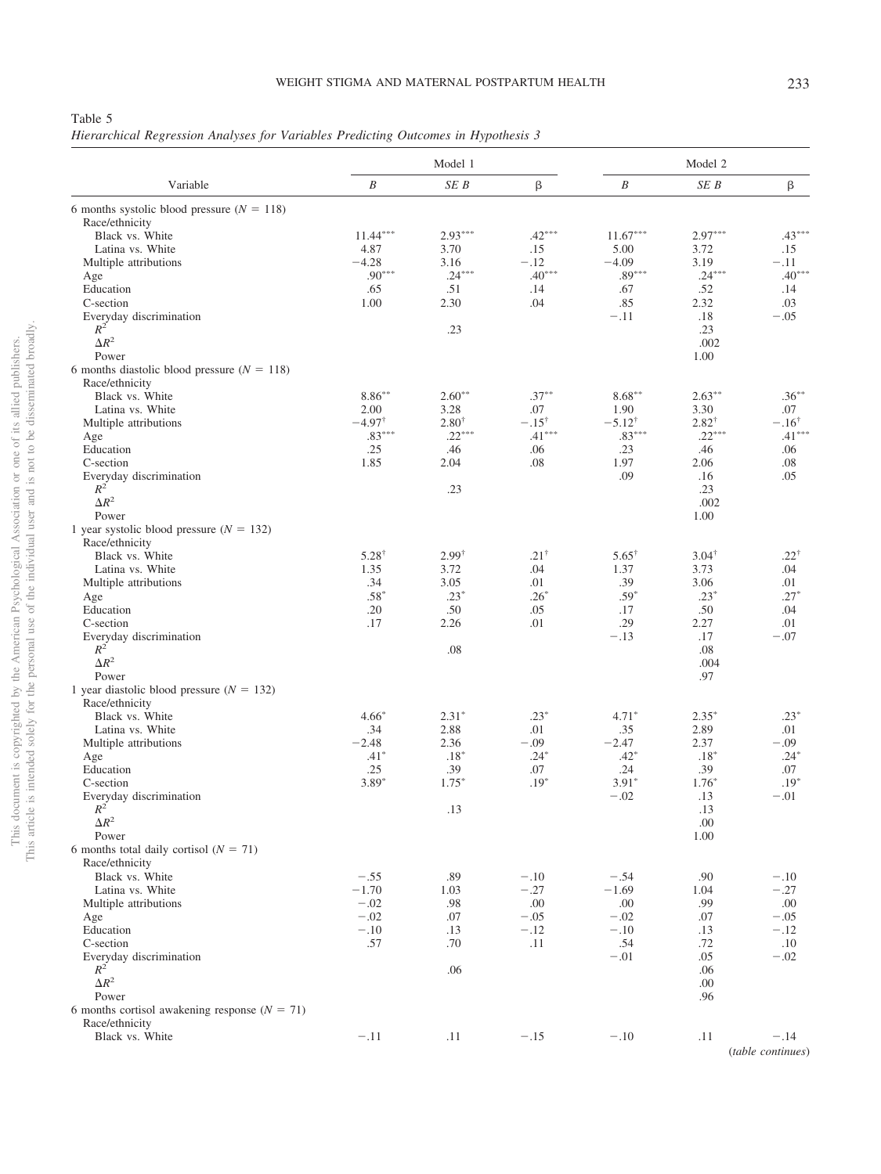<span id="page-7-0"></span>*Hierarchical Regression Analyses for Variables Predicting Outcomes in Hypothesis 3*

|                                                 | Model 1           |                  |                  |                   | Model 2          |                   |
|-------------------------------------------------|-------------------|------------------|------------------|-------------------|------------------|-------------------|
| Variable                                        | $\boldsymbol{B}$  | SE B             | β                | $\boldsymbol{B}$  | SE B             | β                 |
| 6 months systolic blood pressure $(N = 118)$    |                   |                  |                  |                   |                  |                   |
| Race/ethnicity                                  |                   |                  |                  |                   |                  |                   |
| Black vs. White                                 | $11.44***$        | $2.93***$        | $.42***$         | $11.67***$        | $2.97***$        | $.43***$          |
| Latina vs. White                                | 4.87              | 3.70             | .15              | 5.00              | 3.72             | .15               |
| Multiple attributions                           | $-4.28$           | 3.16             | $-.12$           | $-4.09$           | 3.19             | $-.11$            |
| Age                                             | $.90***$          | $.24***$         | $.40***$         | $.89***$          | $.24***$         | $.40***$          |
| Education                                       | .65               | .51              | .14              | .67               | .52              | .14               |
| C-section                                       | 1.00              | 2.30             | .04              | .85               | 2.32             | .03               |
| Everyday discrimination                         |                   |                  |                  | $-.11$            | .18              | $-.05$            |
| $R^2$                                           |                   | .23              |                  |                   | .23              |                   |
| $\Delta R^2$                                    |                   |                  |                  |                   | .002             |                   |
| Power                                           |                   |                  |                  |                   | 1.00             |                   |
| 6 months diastolic blood pressure ( $N = 118$ ) |                   |                  |                  |                   |                  |                   |
| Race/ethnicity                                  |                   |                  |                  |                   |                  |                   |
| Black vs. White                                 | $8.86***$         | $2.60**$         | $.37***$         | $8.68***$         | $2.63***$        | $.36***$          |
| Latina vs. White                                | 2.00              | 3.28             | .07              | 1.90              | 3.30             | .07               |
| Multiple attributions                           | $-4.97^{\dagger}$ | $2.80^{\dagger}$ | $-.15^{\dagger}$ | $-5.12^{\dagger}$ | $2.82^{\dagger}$ | $-.16^{\dagger}$  |
| Age                                             | $.83***$          | $.22***$         | $.41***$         | $.83***$          | $.22***$         | $.41***$          |
| Education                                       | .25               | .46              | .06              | .23               | .46              | .06               |
| C-section                                       | 1.85              | 2.04             | .08              | 1.97              | 2.06             | .08               |
| Everyday discrimination                         |                   |                  |                  | .09               | .16              | .05               |
| $R^2$                                           |                   | .23              |                  |                   | .23              |                   |
| $\Delta R^2$                                    |                   |                  |                  |                   | .002             |                   |
| Power                                           |                   |                  |                  |                   | 1.00             |                   |
| 1 year systolic blood pressure $(N = 132)$      |                   |                  |                  |                   |                  |                   |
| Race/ethnicity                                  |                   |                  |                  |                   |                  |                   |
| Black vs. White                                 | $5.28^{\dagger}$  | $2.99^{\dagger}$ | $.21^{\dagger}$  | $5.65^+$          | $3.04^{\dagger}$ | $.22^{+}$         |
| Latina vs. White                                | 1.35              | 3.72             | .04              | 1.37              | 3.73             | .04               |
| Multiple attributions                           | .34               | 3.05             | .01              | .39               | 3.06             | .01               |
| Age                                             | $.58*$            | $.23*$           | $.26*$           | $.59*$            | $.23*$           | $.27*$            |
| Education                                       | .20               | .50              | .05              | .17               | .50              | .04               |
| C-section                                       | .17               | 2.26             | .01              | .29               | 2.27             | .01               |
| Everyday discrimination                         |                   |                  |                  | $-.13$            | .17              | $-.07$            |
| $R^2$                                           |                   | .08              |                  |                   | .08              |                   |
| $\Delta R^2$                                    |                   |                  |                  |                   | .004             |                   |
| Power                                           |                   |                  |                  |                   | .97              |                   |
| 1 year diastolic blood pressure $(N = 132)$     |                   |                  |                  |                   |                  |                   |
| Race/ethnicity                                  |                   |                  |                  |                   |                  |                   |
| Black vs. White                                 | $4.66*$           | $2.31*$          | $.23*$           | $4.71*$           | $2.35*$          | $.23*$            |
| Latina vs. White                                | .34               | 2.88             | .01              | .35               | 2.89             | .01               |
| Multiple attributions                           | $-2.48$           | 2.36             | $-.09$           | $-2.47$           | 2.37             | $-.09$            |
| Age                                             | $.41*$            | $.18*$           | $.24*$           | $.42*$            | $.18*$           | $.24*$            |
| Education                                       | .25               | .39              | .07              | .24               | .39              | .07               |
| C-section                                       | $3.89*$           | $1.75*$          | $.19*$           | $3.91*$           | $1.76*$          | $.19*$            |
| Everyday discrimination                         |                   |                  |                  | $-.02$            | .13              | $-.01$            |
| $R^2$                                           |                   | .13              |                  |                   | .13              |                   |
| $\Delta R^2$                                    |                   |                  |                  |                   | .00              |                   |
| Power                                           |                   |                  |                  |                   | 1.00             |                   |
| 6 months total daily cortisol ( $N = 71$ )      |                   |                  |                  |                   |                  |                   |
| Race/ethnicity                                  |                   |                  |                  |                   |                  |                   |
| Black vs. White                                 | $-.55$            | .89              | $-.10$           | $-.54$            | .90              | $-.10$            |
| Latina vs. White                                | $-1.70$           | 1.03             | $-.27$           | $-1.69$           | 1.04             | $-.27$            |
| Multiple attributions                           | $-.02$            | .98              | .00              | .00               | .99              | .00               |
| Age                                             | $-.02$            | .07              | $-.05$           | $-.02$            | .07              | $-.05$            |
| Education                                       | $-.10$            | .13              | $-.12$           | $-.10$            | .13              | $-.12$            |
| C-section                                       | .57               | .70              | .11              | .54               | .72              | .10               |
| Everyday discrimination                         |                   |                  |                  | $-.01$            | .05              | $-.02$            |
| $R^2$                                           |                   | .06              |                  |                   | .06              |                   |
| $\Delta R^2$                                    |                   |                  |                  |                   | .00              |                   |
| Power                                           |                   |                  |                  |                   | .96              |                   |
| 6 months cortisol awakening response $(N = 71)$ |                   |                  |                  |                   |                  |                   |
| Race/ethnicity                                  |                   |                  |                  |                   |                  |                   |
| Black vs. White                                 | $-.11$            | .11              | $-.15$           | $-.10$            | .11              | $-.14$            |
|                                                 |                   |                  |                  |                   |                  | (table continues) |
|                                                 |                   |                  |                  |                   |                  |                   |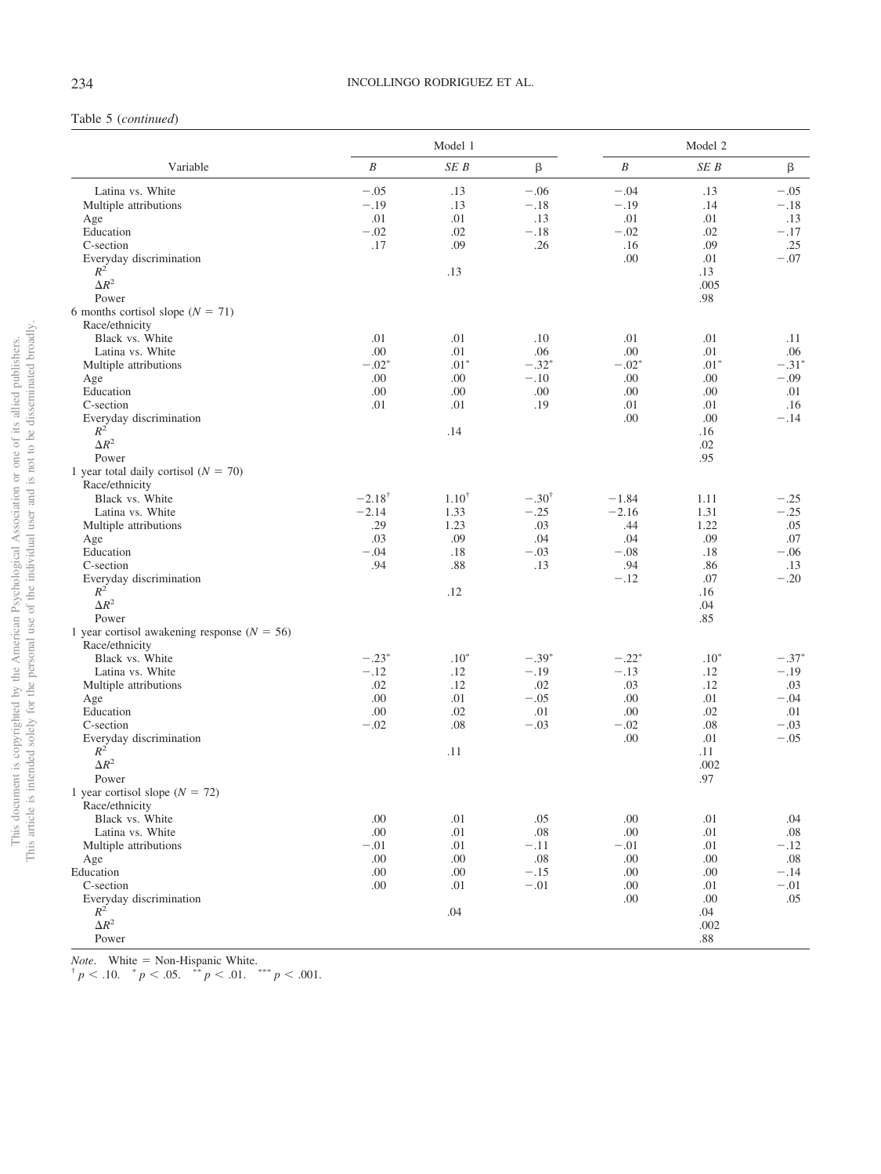# Table 5 (*continued*)

|                                               |                   | Model 1    |                  |          | Model 2 |         |
|-----------------------------------------------|-------------------|------------|------------------|----------|---------|---------|
| Variable                                      | $\boldsymbol{B}$  | SEB        | β                | $\cal B$ | SEB     | β       |
| Latina vs. White                              | $-.05$            | .13        | $-.06$           | $-.04$   | .13     | $-.05$  |
| Multiple attributions                         | $-.19$            | .13        | $-.18$           | $-.19$   | .14     | $-.18$  |
| Age                                           | .01               | .01        | .13              | .01      | .01     | .13     |
| Education                                     | $-.02$            | .02        | $-.18$           | $-.02$   | .02     | $-.17$  |
| C-section                                     | .17               | .09        | .26              | .16      | .09     | .25     |
| Everyday discrimination                       |                   |            |                  | .00      | .01     | $-.07$  |
| $R^2$                                         |                   | .13        |                  |          | .13     |         |
| $\Delta R^2$                                  |                   |            |                  |          | .005    |         |
| Power                                         |                   |            |                  |          | .98     |         |
| 6 months cortisol slope ( $N = 71$ )          |                   |            |                  |          |         |         |
| Race/ethnicity                                |                   |            |                  |          |         |         |
| Black vs. White                               | .01               | .01        | .10              | .01      | .01     | .11     |
| Latina vs. White                              | .00               | .01        | .06              | .00      | .01     | .06     |
| Multiple attributions                         | $-.02*$           | $.01*$     | $-.32*$          | $-.02*$  | $.01*$  | $-.31*$ |
| Age                                           | .00               | .00        | $-.10$           | .00      | .00     | $-.09$  |
| Education                                     | .00               | .00        | .00              | .00      | .00     | .01     |
| C-section                                     | .01               | .01        | .19              | .01      | .01     | .16     |
| Everyday discrimination                       |                   |            |                  | .00      | .00     | $-.14$  |
| $R^2$                                         |                   | .14        |                  |          | .16     |         |
| $\Delta R^2$                                  |                   |            |                  |          | .02     |         |
| Power                                         |                   |            |                  |          | .95     |         |
| 1 year total daily cortisol ( $N = 70$ )      |                   |            |                  |          |         |         |
| Race/ethnicity                                |                   |            |                  |          |         |         |
| Black vs. White                               | $-2.18^{\dagger}$ | $1.10^{+}$ | $-.30^{\dagger}$ | $-1.84$  | 1.11    | $-.25$  |
| Latina vs. White                              | $-2.14$           | 1.33       | $-.25$           | $-2.16$  | 1.31    | $-.25$  |
| Multiple attributions                         | .29               | 1.23       | .03              | .44      | 1.22    | .05     |
| Age                                           | .03               | .09        | .04              | .04      | .09     | .07     |
| Education                                     | $-.04$            | .18        | $-.03$           | $-.08$   | .18     | $-.06$  |
| C-section                                     | .94               | .88        | .13              | .94      | .86     | .13     |
| Everyday discrimination                       |                   |            |                  | $-.12$   | .07     | $-.20$  |
| $R^2$                                         |                   | .12        |                  |          | .16     |         |
| $\Delta R^2$                                  |                   |            |                  |          | .04     |         |
| Power                                         |                   |            |                  |          | .85     |         |
| 1 year cortisol awakening response $(N = 56)$ |                   |            |                  |          |         |         |
| Race/ethnicity                                |                   |            |                  |          |         |         |
| Black vs. White                               | $-.23*$           | $.10*$     | $-.39*$          | $-.22*$  | $.10*$  | $-.37*$ |
| Latina vs. White                              | $-.12$            | .12        | $-.19$           | $-.13$   | .12     | $-.19$  |
| Multiple attributions                         | .02               | .12        | .02              | .03      | .12     | .03     |
| Age                                           | .00               | .01        | $-.05$           | .00      | .01     | $-.04$  |
| Education                                     | .00               | .02        | .01              | .00      | .02     | .01     |
| C-section                                     | $-.02$            | .08        | $-.03$           | $-.02$   | .08     | $-.03$  |
| Everyday discrimination                       |                   |            |                  | .00      | .01     | $-.05$  |
| $R^2$                                         |                   | .11        |                  |          | .11     |         |
| $\Delta R^2$                                  |                   |            |                  |          | .002    |         |
| Power                                         |                   |            |                  |          | .97     |         |
| 1 year cortisol slope $(N = 72)$              |                   |            |                  |          |         |         |
| Race/ethnicity                                |                   |            |                  |          |         |         |
| Black vs. White                               | .00               | .01        | .05              | .00      | .01     | .04     |
| Latina vs. White                              | .00               | .01        | .08              | .00      | .01     | .08     |
| Multiple attributions                         | $-.01$            | .01        | $-.11$           | $-.01$   | .01     | $-.12$  |
| Age                                           | .00               | .00.       | $.08\,$          | $.00\,$  | .00     | .08     |
| Education                                     | .00               | .00.       | $-.15$           | .00      | .00     | $-.14$  |
| C-section                                     | .00               | .01        | $-.01$           | .00      | .01     | $-.01$  |
| Everyday discrimination                       |                   |            |                  | .00      | .00     | .05     |
| $R^2$                                         |                   | .04        |                  |          | .04     |         |
| $\Delta R^2$                                  |                   |            |                  |          | .002    |         |
| Power                                         |                   |            |                  |          | $.88\,$ |         |

*Note.* White = Non-Hispanic White.<br>  ${}^{\dagger} p$  < .10.  ${}^* p$  < .05.  ${}^{**} p$  < .01.  ${}^{***} p$  < .001.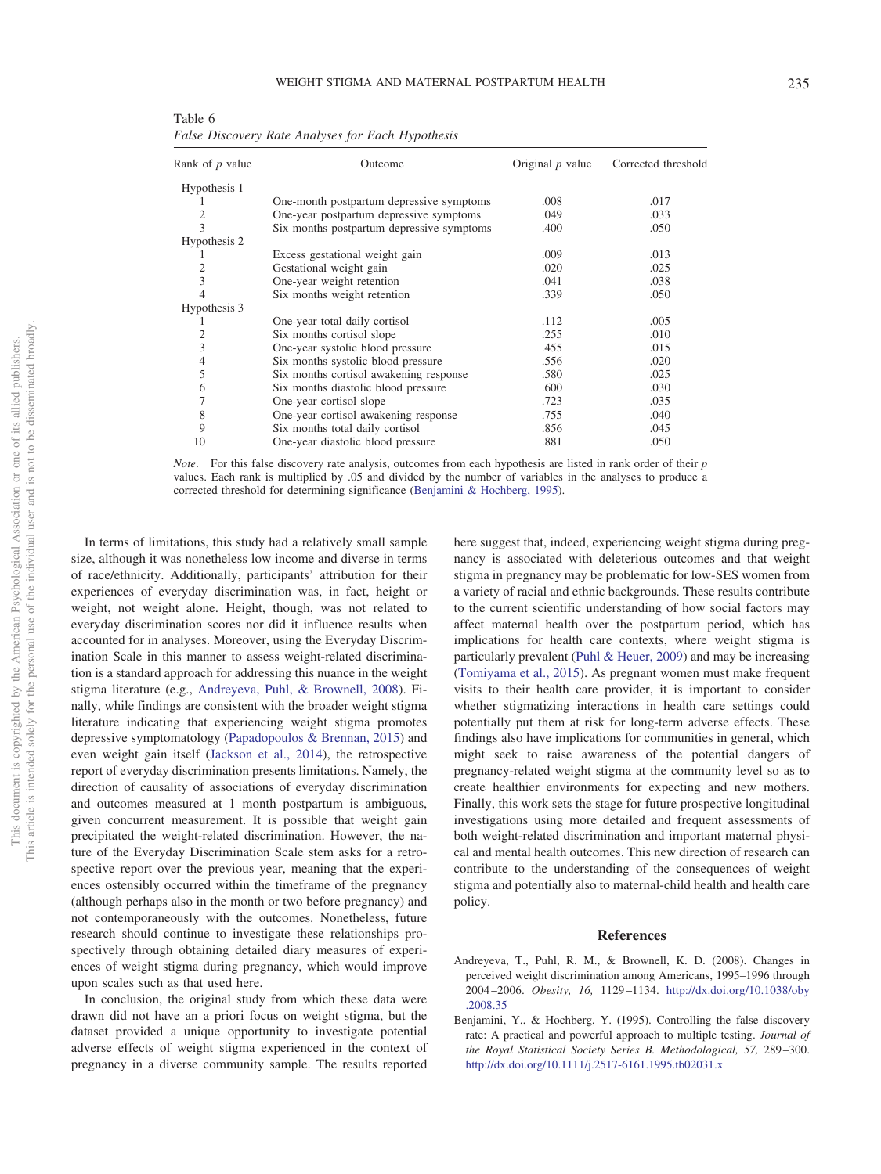<span id="page-9-1"></span>Table 6 *False Discovery Rate Analyses for Each Hypothesis*

| Rank of p value | Outcome                                   | Original $p$ value | Corrected threshold |
|-----------------|-------------------------------------------|--------------------|---------------------|
| Hypothesis 1    |                                           |                    |                     |
|                 | One-month postpartum depressive symptoms  | .008               | .017                |
| 2               | One-year postpartum depressive symptoms   | .049               | .033                |
| 3               | Six months postpartum depressive symptoms | .400               | .050                |
| Hypothesis 2    |                                           |                    |                     |
|                 | Excess gestational weight gain            | .009               | .013                |
| 2               | Gestational weight gain                   | .020               | .025                |
| 3               | One-year weight retention                 | .041               | .038                |
|                 | Six months weight retention               | .339               | .050                |
| Hypothesis 3    |                                           |                    |                     |
|                 | One-year total daily cortisol             | .112               | .005                |
|                 | Six months cortisol slope                 | .255               | .010                |
| 3               | One-year systolic blood pressure          | .455               | .015                |
| 4               | Six months systolic blood pressure        | .556               | .020                |
| 5               | Six months cortisol awakening response    | .580               | .025                |
| 6               | Six months diastolic blood pressure       | .600               | .030                |
|                 | One-year cortisol slope                   | .723               | .035                |
| 8               | One-year cortisol awakening response      | .755               | .040                |
| 9               | Six months total daily cortisol           | .856               | .045                |
| 10              | One-year diastolic blood pressure         | .881               | .050                |

*Note*. For this false discovery rate analysis, outcomes from each hypothesis are listed in rank order of their *p* values. Each rank is multiplied by .05 and divided by the number of variables in the analyses to produce a corrected threshold for determining significance [\(Benjamini & Hochberg, 1995\)](#page-9-0).

In terms of limitations, this study had a relatively small sample size, although it was nonetheless low income and diverse in terms of race/ethnicity. Additionally, participants' attribution for their experiences of everyday discrimination was, in fact, height or weight, not weight alone. Height, though, was not related to everyday discrimination scores nor did it influence results when accounted for in analyses. Moreover, using the Everyday Discrimination Scale in this manner to assess weight-related discrimination is a standard approach for addressing this nuance in the weight stigma literature (e.g., [Andreyeva, Puhl, & Brownell, 2008\)](#page-9-2). Finally, while findings are consistent with the broader weight stigma literature indicating that experiencing weight stigma promotes depressive symptomatology [\(Papadopoulos & Brennan, 2015\)](#page-10-4) and even weight gain itself [\(Jackson et al., 2014\)](#page-10-5), the retrospective report of everyday discrimination presents limitations. Namely, the direction of causality of associations of everyday discrimination and outcomes measured at 1 month postpartum is ambiguous, given concurrent measurement. It is possible that weight gain precipitated the weight-related discrimination. However, the nature of the Everyday Discrimination Scale stem asks for a retrospective report over the previous year, meaning that the experiences ostensibly occurred within the timeframe of the pregnancy (although perhaps also in the month or two before pregnancy) and not contemporaneously with the outcomes. Nonetheless, future research should continue to investigate these relationships prospectively through obtaining detailed diary measures of experiences of weight stigma during pregnancy, which would improve upon scales such as that used here.

In conclusion, the original study from which these data were drawn did not have an a priori focus on weight stigma, but the dataset provided a unique opportunity to investigate potential adverse effects of weight stigma experienced in the context of pregnancy in a diverse community sample. The results reported here suggest that, indeed, experiencing weight stigma during pregnancy is associated with deleterious outcomes and that weight stigma in pregnancy may be problematic for low-SES women from a variety of racial and ethnic backgrounds. These results contribute to the current scientific understanding of how social factors may affect maternal health over the postpartum period, which has implications for health care contexts, where weight stigma is particularly prevalent [\(Puhl & Heuer, 2009\)](#page-10-29) and may be increasing [\(Tomiyama et al., 2015\)](#page-11-3). As pregnant women must make frequent visits to their health care provider, it is important to consider whether stigmatizing interactions in health care settings could potentially put them at risk for long-term adverse effects. These findings also have implications for communities in general, which might seek to raise awareness of the potential dangers of pregnancy-related weight stigma at the community level so as to create healthier environments for expecting and new mothers. Finally, this work sets the stage for future prospective longitudinal investigations using more detailed and frequent assessments of both weight-related discrimination and important maternal physical and mental health outcomes. This new direction of research can contribute to the understanding of the consequences of weight stigma and potentially also to maternal-child health and health care policy.

### **References**

- <span id="page-9-2"></span>Andreyeva, T., Puhl, R. M., & Brownell, K. D. (2008). Changes in perceived weight discrimination among Americans, 1995–1996 through 2004 –2006. *Obesity, 16,* 1129 –1134. [http://dx.doi.org/10.1038/oby](http://dx.doi.org/10.1038/oby.2008.35) [.2008.35](http://dx.doi.org/10.1038/oby.2008.35)
- <span id="page-9-0"></span>Benjamini, Y., & Hochberg, Y. (1995). Controlling the false discovery rate: A practical and powerful approach to multiple testing. *Journal of the Royal Statistical Society Series B. Methodological, 57,* 289 –300. <http://dx.doi.org/10.1111/j.2517-6161.1995.tb02031.x>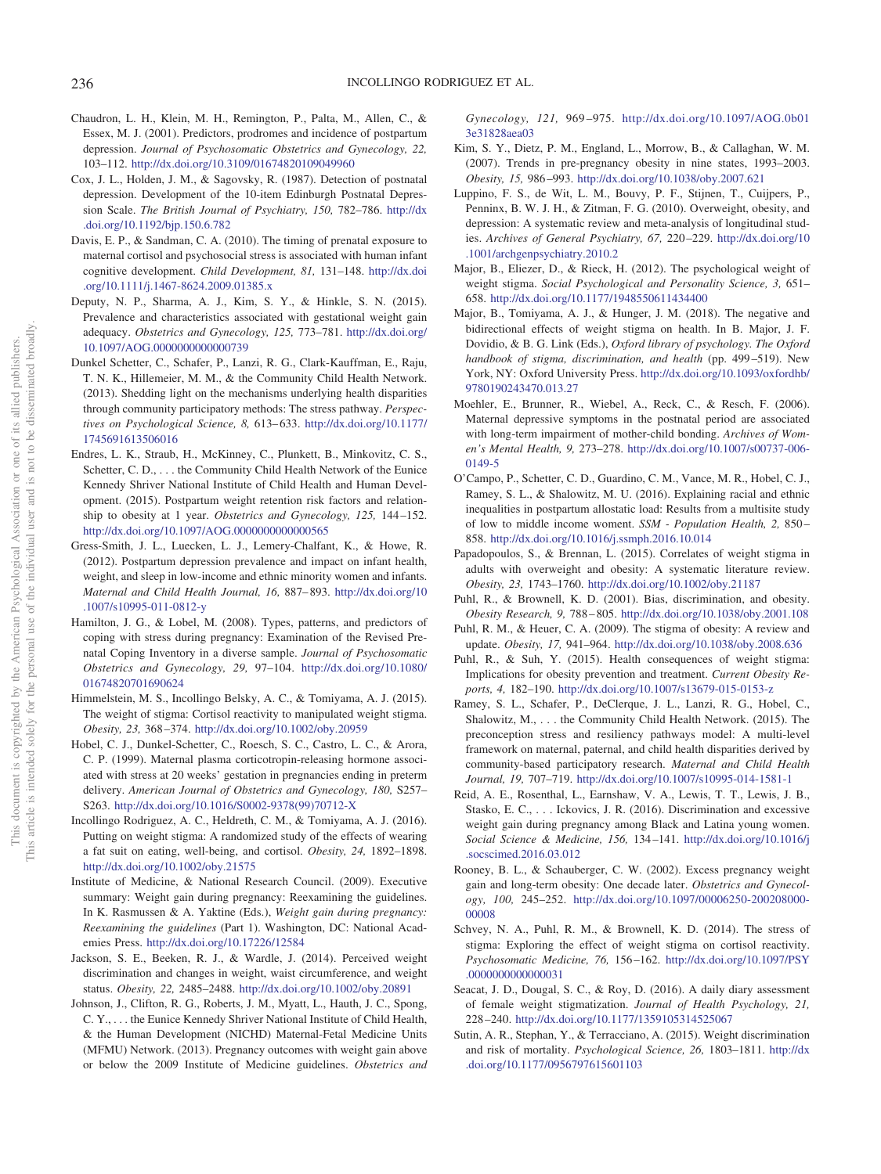- <span id="page-10-27"></span>Chaudron, L. H., Klein, M. H., Remington, P., Palta, M., Allen, C., & Essex, M. J. (2001). Predictors, prodromes and incidence of postpartum depression. *Journal of Psychosomatic Obstetrics and Gynecology, 22,* 103–112. <http://dx.doi.org/10.3109/01674820109049960>
- <span id="page-10-23"></span>Cox, J. L., Holden, J. M., & Sagovsky, R. (1987). Detection of postnatal depression. Development of the 10-item Edinburgh Postnatal Depression Scale. *The British Journal of Psychiatry, 150,* 782–786. [http://dx](http://dx.doi.org/10.1192/bjp.150.6.782) [.doi.org/10.1192/bjp.150.6.782](http://dx.doi.org/10.1192/bjp.150.6.782)
- <span id="page-10-10"></span>Davis, E. P., & Sandman, C. A. (2010). The timing of prenatal exposure to maternal cortisol and psychosocial stress is associated with human infant cognitive development. *Child Development, 81,* 131–148. [http://dx.doi](http://dx.doi.org/10.1111/j.1467-8624.2009.01385.x) [.org/10.1111/j.1467-8624.2009.01385.x](http://dx.doi.org/10.1111/j.1467-8624.2009.01385.x)
- <span id="page-10-25"></span>Deputy, N. P., Sharma, A. J., Kim, S. Y., & Hinkle, S. N. (2015). Prevalence and characteristics associated with gestational weight gain adequacy. *Obstetrics and Gynecology, 125,* 773–781. [http://dx.doi.org/](http://dx.doi.org/10.1097/AOG.0000000000000739) [10.1097/AOG.0000000000000739](http://dx.doi.org/10.1097/AOG.0000000000000739)
- <span id="page-10-20"></span>Dunkel Schetter, C., Schafer, P., Lanzi, R. G., Clark-Kauffman, E., Raju, T. N. K., Hillemeier, M. M., & the Community Child Health Network. (2013). Shedding light on the mechanisms underlying health disparities through community participatory methods: The stress pathway. *Perspectives on Psychological Science, 8,* 613– 633. [http://dx.doi.org/10.1177/](http://dx.doi.org/10.1177/1745691613506016) [1745691613506016](http://dx.doi.org/10.1177/1745691613506016)
- <span id="page-10-11"></span>Endres, L. K., Straub, H., McKinney, C., Plunkett, B., Minkovitz, C. S., Schetter, C. D., . . . the Community Child Health Network of the Eunice Kennedy Shriver National Institute of Child Health and Human Development. (2015). Postpartum weight retention risk factors and relationship to obesity at 1 year. *Obstetrics and Gynecology, 125,* 144 –152. <http://dx.doi.org/10.1097/AOG.0000000000000565>
- <span id="page-10-12"></span>Gress-Smith, J. L., Luecken, L. J., Lemery-Chalfant, K., & Howe, R. (2012). Postpartum depression prevalence and impact on infant health, weight, and sleep in low-income and ethnic minority women and infants. *Maternal and Child Health Journal, 16,* 887– 893. [http://dx.doi.org/10](http://dx.doi.org/10.1007/s10995-011-0812-y) [.1007/s10995-011-0812-y](http://dx.doi.org/10.1007/s10995-011-0812-y)
- <span id="page-10-0"></span>Hamilton, J. G., & Lobel, M. (2008). Types, patterns, and predictors of coping with stress during pregnancy: Examination of the Revised Prenatal Coping Inventory in a diverse sample. *Journal of Psychosomatic Obstetrics and Gynecology, 29,* 97–104. [http://dx.doi.org/10.1080/](http://dx.doi.org/10.1080/01674820701690624) [01674820701690624](http://dx.doi.org/10.1080/01674820701690624)
- <span id="page-10-6"></span>Himmelstein, M. S., Incollingo Belsky, A. C., & Tomiyama, A. J. (2015). The weight of stigma: Cortisol reactivity to manipulated weight stigma. *Obesity, 23,* 368 –374. <http://dx.doi.org/10.1002/oby.20959>
- <span id="page-10-13"></span>Hobel, C. J., Dunkel-Schetter, C., Roesch, S. C., Castro, L. C., & Arora, C. P. (1999). Maternal plasma corticotropin-releasing hormone associated with stress at 20 weeks' gestation in pregnancies ending in preterm delivery. *American Journal of Obstetrics and Gynecology, 180,* S257– S263. [http://dx.doi.org/10.1016/S0002-9378\(99\)70712-X](http://dx.doi.org/10.1016/S0002-9378%2899%2970712-X)
- <span id="page-10-18"></span>Incollingo Rodriguez, A. C., Heldreth, C. M., & Tomiyama, A. J. (2016). Putting on weight stigma: A randomized study of the effects of wearing a fat suit on eating, well-being, and cortisol. *Obesity, 24,* 1892–1898. <http://dx.doi.org/10.1002/oby.21575>
- <span id="page-10-24"></span>Institute of Medicine, & National Research Council. (2009). Executive summary: Weight gain during pregnancy: Reexamining the guidelines. In K. Rasmussen & A. Yaktine (Eds.), *Weight gain during pregnancy: Reexamining the guidelines* (Part 1). Washington, DC: National Academies Press. <http://dx.doi.org/10.17226/12584>
- <span id="page-10-5"></span>Jackson, S. E., Beeken, R. J., & Wardle, J. (2014). Perceived weight discrimination and changes in weight, waist circumference, and weight status. *Obesity, 22,* 2485–2488. <http://dx.doi.org/10.1002/oby.20891>
- <span id="page-10-14"></span>Johnson, J., Clifton, R. G., Roberts, J. M., Myatt, L., Hauth, J. C., Spong, C. Y., . . . the Eunice Kennedy Shriver National Institute of Child Health, & the Human Development (NICHD) Maternal-Fetal Medicine Units (MFMU) Network. (2013). Pregnancy outcomes with weight gain above or below the 2009 Institute of Medicine guidelines. *Obstetrics and*

*Gynecology, 121,* 969 –975. [http://dx.doi.org/10.1097/AOG.0b01](http://dx.doi.org/10.1097/AOG.0b013e31828aea03) [3e31828aea03](http://dx.doi.org/10.1097/AOG.0b013e31828aea03)

- <span id="page-10-17"></span>Kim, S. Y., Dietz, P. M., England, L., Morrow, B., & Callaghan, W. M. (2007). Trends in pre-pregnancy obesity in nine states, 1993–2003. *Obesity, 15,* 986 –993. <http://dx.doi.org/10.1038/oby.2007.621>
- <span id="page-10-26"></span>Luppino, F. S., de Wit, L. M., Bouvy, P. F., Stijnen, T., Cuijpers, P., Penninx, B. W. J. H., & Zitman, F. G. (2010). Overweight, obesity, and depression: A systematic review and meta-analysis of longitudinal studies. *Archives of General Psychiatry, 67,* 220 –229. [http://dx.doi.org/10](http://dx.doi.org/10.1001/archgenpsychiatry.2010.2) [.1001/archgenpsychiatry.2010.2](http://dx.doi.org/10.1001/archgenpsychiatry.2010.2)
- <span id="page-10-7"></span>Major, B., Eliezer, D., & Rieck, H. (2012). The psychological weight of weight stigma. *Social Psychological and Personality Science, 3,* 651– 658. <http://dx.doi.org/10.1177/1948550611434400>
- <span id="page-10-19"></span>Major, B., Tomiyama, A. J., & Hunger, J. M. (2018). The negative and bidirectional effects of weight stigma on health. In B. Major, J. F. Dovidio, & B. G. Link (Eds.), *Oxford library of psychology. The Oxford handbook of stigma, discrimination, and health* (pp. 499 –519). New York, NY: Oxford University Press. [http://dx.doi.org/10.1093/oxfordhb/](http://dx.doi.org/10.1093/oxfordhb/9780190243470.013.27) [9780190243470.013.27](http://dx.doi.org/10.1093/oxfordhb/9780190243470.013.27)
- <span id="page-10-15"></span>Moehler, E., Brunner, R., Wiebel, A., Reck, C., & Resch, F. (2006). Maternal depressive symptoms in the postnatal period are associated with long-term impairment of mother-child bonding. *Archives of Women's Mental Health, 9,* 273–278. [http://dx.doi.org/10.1007/s00737-006-](http://dx.doi.org/10.1007/s00737-006-0149-5) [0149-5](http://dx.doi.org/10.1007/s00737-006-0149-5)
- <span id="page-10-21"></span>O'Campo, P., Schetter, C. D., Guardino, C. M., Vance, M. R., Hobel, C. J., Ramey, S. L., & Shalowitz, M. U. (2016). Explaining racial and ethnic inequalities in postpartum allostatic load: Results from a multisite study of low to middle income woment. *SSM - Population Health, 2,* 850 – 858. <http://dx.doi.org/10.1016/j.ssmph.2016.10.014>
- <span id="page-10-4"></span>Papadopoulos, S., & Brennan, L. (2015). Correlates of weight stigma in adults with overweight and obesity: A systematic literature review. *Obesity, 23,* 1743–1760. <http://dx.doi.org/10.1002/oby.21187>
- <span id="page-10-1"></span>Puhl, R., & Brownell, K. D. (2001). Bias, discrimination, and obesity. *Obesity Research, 9,* 788 – 805. <http://dx.doi.org/10.1038/oby.2001.108>
- <span id="page-10-29"></span>Puhl, R. M., & Heuer, C. A. (2009). The stigma of obesity: A review and update. *Obesity, 17,* 941–964. <http://dx.doi.org/10.1038/oby.2008.636>
- <span id="page-10-8"></span>Puhl, R., & Suh, Y. (2015). Health consequences of weight stigma: Implications for obesity prevention and treatment. *Current Obesity Reports, 4,* 182–190. <http://dx.doi.org/10.1007/s13679-015-0153-z>
- <span id="page-10-22"></span>Ramey, S. L., Schafer, P., DeClerque, J. L., Lanzi, R. G., Hobel, C., Shalowitz, M., . . . the Community Child Health Network. (2015). The preconception stress and resiliency pathways model: A multi-level framework on maternal, paternal, and child health disparities derived by community-based participatory research. *Maternal and Child Health Journal, 19,* 707–719. <http://dx.doi.org/10.1007/s10995-014-1581-1>
- <span id="page-10-16"></span>Reid, A. E., Rosenthal, L., Earnshaw, V. A., Lewis, T. T., Lewis, J. B., Stasko, E. C.,... Ickovics, J. R. (2016). Discrimination and excessive weight gain during pregnancy among Black and Latina young women. *Social Science & Medicine, 156,* 134 –141. [http://dx.doi.org/10.1016/j](http://dx.doi.org/10.1016/j.socscimed.2016.03.012) [.socscimed.2016.03.012](http://dx.doi.org/10.1016/j.socscimed.2016.03.012)
- <span id="page-10-28"></span>Rooney, B. L., & Schauberger, C. W. (2002). Excess pregnancy weight gain and long-term obesity: One decade later. *Obstetrics and Gynecology, 100,* 245–252. [http://dx.doi.org/10.1097/00006250-200208000-](http://dx.doi.org/10.1097/00006250-200208000-00008) [00008](http://dx.doi.org/10.1097/00006250-200208000-00008)
- <span id="page-10-9"></span>Schvey, N. A., Puhl, R. M., & Brownell, K. D. (2014). The stress of stigma: Exploring the effect of weight stigma on cortisol reactivity. *Psychosomatic Medicine, 76,* 156 –162. [http://dx.doi.org/10.1097/PSY](http://dx.doi.org/10.1097/PSY.0000000000000031) [.0000000000000031](http://dx.doi.org/10.1097/PSY.0000000000000031)
- <span id="page-10-2"></span>Seacat, J. D., Dougal, S. C., & Roy, D. (2016). A daily diary assessment of female weight stigmatization. *Journal of Health Psychology, 21,* 228 –240. <http://dx.doi.org/10.1177/1359105314525067>
- <span id="page-10-3"></span>Sutin, A. R., Stephan, Y., & Terracciano, A. (2015). Weight discrimination and risk of mortality. *Psychological Science, 26,* 1803–1811. [http://dx](http://dx.doi.org/10.1177/0956797615601103) [.doi.org/10.1177/0956797615601103](http://dx.doi.org/10.1177/0956797615601103)